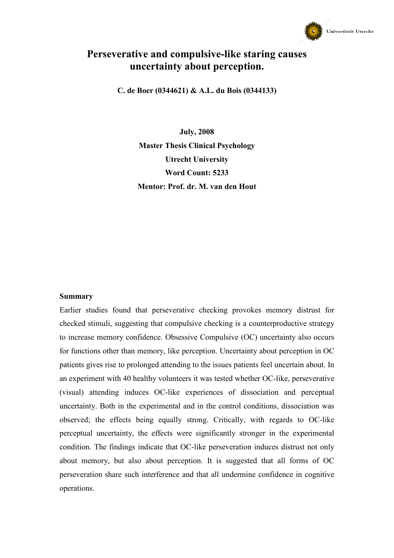

# Perseverative and compulsive-like staring causes uncertainty about perception.

C. de Boer (0344621) & A.L. du Bois (0344133)

July, 2008 Master Thesis Clinical Psychology Utrecht University Word Count: 5233 Mentor: Prof. dr. M. van den Hout

#### Summary

Earlier studies found that perseverative checking provokes memory distrust for checked stimuli, suggesting that compulsive checking is a counterproductive strategy to increase memory confidence. Obsessive Compulsive (OC) uncertainty also occurs for functions other than memory, like perception. Uncertainty about perception in OC patients gives rise to prolonged attending to the issues patients feel uncertain about. In an experiment with 40 healthy volunteers it was tested whether OC-like, perseverative (visual) attending induces OC-like experiences of dissociation and perceptual uncertainty. Both in the experimental and in the control conditions, dissociation was observed; the effects being equally strong. Critically, with regards to OC-like perceptual uncertainty, the effects were significantly stronger in the experimental condition. The findings indicate that OC-like perseveration induces distrust not only about memory, but also about perception. It is suggested that all forms of OC perseveration share such interference and that all undermine confidence in cognitive operations.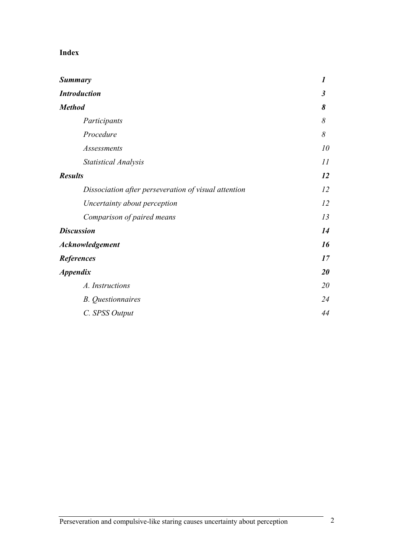# Index

| <b>Summary</b>                                       | $\boldsymbol{l}$ |
|------------------------------------------------------|------------------|
| <b>Introduction</b>                                  | $\mathfrak{z}$   |
| <b>Method</b>                                        | 8                |
| Participants                                         | 8                |
| Procedure                                            | 8                |
| Assessments                                          | 10               |
| <b>Statistical Analysis</b>                          | II               |
| <b>Results</b>                                       | 12               |
| Dissociation after perseveration of visual attention | 12               |
| Uncertainty about perception                         | 12               |
| Comparison of paired means                           | 13               |
| <b>Discussion</b>                                    | 14               |
| Acknowledgement                                      | 16               |
| <b>References</b>                                    | 17               |
| <i><b>Appendix</b></i>                               | 20               |
| A. Instructions                                      | 20               |
| <b>B.</b> Questionnaires                             | 24               |
| C. SPSS Output                                       | 44               |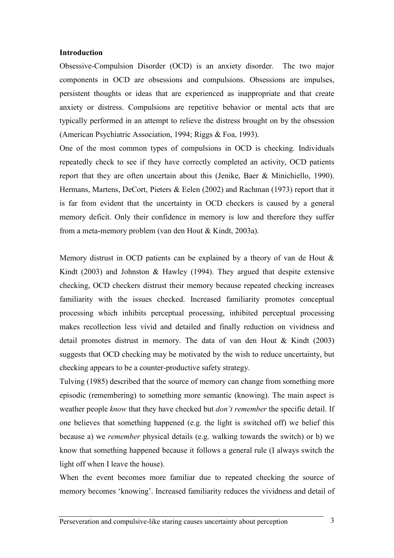#### Introduction

Obsessive-Compulsion Disorder (OCD) is an anxiety disorder. The two major components in OCD are obsessions and compulsions. Obsessions are impulses, persistent thoughts or ideas that are experienced as inappropriate and that create anxiety or distress. Compulsions are repetitive behavior or mental acts that are typically performed in an attempt to relieve the distress brought on by the obsession (American Psychiatric Association, 1994; Riggs & Foa, 1993).

One of the most common types of compulsions in OCD is checking. Individuals repeatedly check to see if they have correctly completed an activity, OCD patients report that they are often uncertain about this (Jenike, Baer & Minichiello, 1990). Hermans, Martens, DeCort, Pieters & Eelen (2002) and Rachman (1973) report that it is far from evident that the uncertainty in OCD checkers is caused by a general memory deficit. Only their confidence in memory is low and therefore they suffer from a meta-memory problem (van den Hout & Kindt, 2003a).

Memory distrust in OCD patients can be explained by a theory of van de Hout & Kindt (2003) and Johnston & Hawley (1994). They argued that despite extensive checking, OCD checkers distrust their memory because repeated checking increases familiarity with the issues checked. Increased familiarity promotes conceptual processing which inhibits perceptual processing, inhibited perceptual processing makes recollection less vivid and detailed and finally reduction on vividness and detail promotes distrust in memory. The data of van den Hout & Kindt (2003) suggests that OCD checking may be motivated by the wish to reduce uncertainty, but checking appears to be a counter-productive safety strategy.

Tulving (1985) described that the source of memory can change from something more episodic (remembering) to something more semantic (knowing). The main aspect is weather people know that they have checked but *don't remember* the specific detail. If one believes that something happened (e.g. the light is switched off) we belief this because a) we remember physical details (e.g. walking towards the switch) or b) we know that something happened because it follows a general rule (I always switch the light off when I leave the house).

When the event becomes more familiar due to repeated checking the source of memory becomes 'knowing'. Increased familiarity reduces the vividness and detail of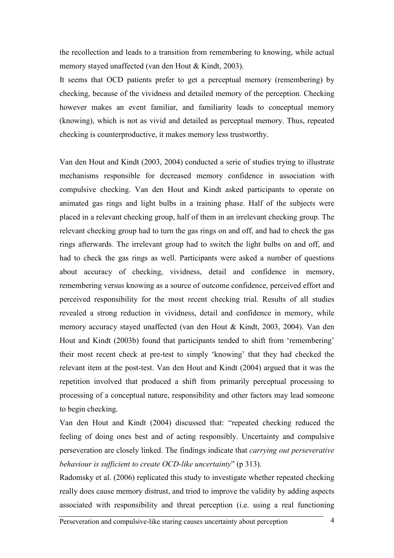the recollection and leads to a transition from remembering to knowing, while actual memory stayed unaffected (van den Hout & Kindt, 2003).

It seems that OCD patients prefer to get a perceptual memory (remembering) by checking, because of the vividness and detailed memory of the perception. Checking however makes an event familiar, and familiarity leads to conceptual memory (knowing), which is not as vivid and detailed as perceptual memory. Thus, repeated checking is counterproductive, it makes memory less trustworthy.

Van den Hout and Kindt (2003, 2004) conducted a serie of studies trying to illustrate mechanisms responsible for decreased memory confidence in association with compulsive checking. Van den Hout and Kindt asked participants to operate on animated gas rings and light bulbs in a training phase. Half of the subjects were placed in a relevant checking group, half of them in an irrelevant checking group. The relevant checking group had to turn the gas rings on and off, and had to check the gas rings afterwards. The irrelevant group had to switch the light bulbs on and off, and had to check the gas rings as well. Participants were asked a number of questions about accuracy of checking, vividness, detail and confidence in memory, remembering versus knowing as a source of outcome confidence, perceived effort and perceived responsibility for the most recent checking trial. Results of all studies revealed a strong reduction in vividness, detail and confidence in memory, while memory accuracy stayed unaffected (van den Hout & Kindt, 2003, 2004). Van den Hout and Kindt (2003b) found that participants tended to shift from 'remembering' their most recent check at pre-test to simply 'knowing' that they had checked the relevant item at the post-test. Van den Hout and Kindt (2004) argued that it was the repetition involved that produced a shift from primarily perceptual processing to processing of a conceptual nature, responsibility and other factors may lead someone to begin checking.

Van den Hout and Kindt (2004) discussed that: "repeated checking reduced the feeling of doing ones best and of acting responsibly. Uncertainty and compulsive perseveration are closely linked. The findings indicate that carrying out perseverative behaviour is sufficient to create OCD-like uncertainty" (p 313).

Radomsky et al. (2006) replicated this study to investigate whether repeated checking really does cause memory distrust, and tried to improve the validity by adding aspects associated with responsibility and threat perception (i.e. using a real functioning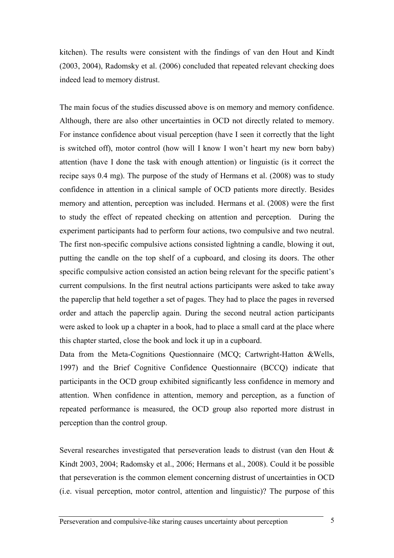kitchen). The results were consistent with the findings of van den Hout and Kindt (2003, 2004), Radomsky et al. (2006) concluded that repeated relevant checking does indeed lead to memory distrust.

The main focus of the studies discussed above is on memory and memory confidence. Although, there are also other uncertainties in OCD not directly related to memory. For instance confidence about visual perception (have I seen it correctly that the light is switched off), motor control (how will I know I won't heart my new born baby) attention (have I done the task with enough attention) or linguistic (is it correct the recipe says 0.4 mg). The purpose of the study of Hermans et al. (2008) was to study confidence in attention in a clinical sample of OCD patients more directly. Besides memory and attention, perception was included. Hermans et al. (2008) were the first to study the effect of repeated checking on attention and perception. During the experiment participants had to perform four actions, two compulsive and two neutral. The first non-specific compulsive actions consisted lightning a candle, blowing it out, putting the candle on the top shelf of a cupboard, and closing its doors. The other specific compulsive action consisted an action being relevant for the specific patient's current compulsions. In the first neutral actions participants were asked to take away the paperclip that held together a set of pages. They had to place the pages in reversed order and attach the paperclip again. During the second neutral action participants were asked to look up a chapter in a book, had to place a small card at the place where this chapter started, close the book and lock it up in a cupboard.

Data from the Meta-Cognitions Questionnaire (MCQ; Cartwright-Hatton &Wells, 1997) and the Brief Cognitive Confidence Questionnaire (BCCQ) indicate that participants in the OCD group exhibited significantly less confidence in memory and attention. When confidence in attention, memory and perception, as a function of repeated performance is measured, the OCD group also reported more distrust in perception than the control group.

Several researches investigated that perseveration leads to distrust (van den Hout & Kindt 2003, 2004; Radomsky et al., 2006; Hermans et al., 2008). Could it be possible that perseveration is the common element concerning distrust of uncertainties in OCD (i.e. visual perception, motor control, attention and linguistic)? The purpose of this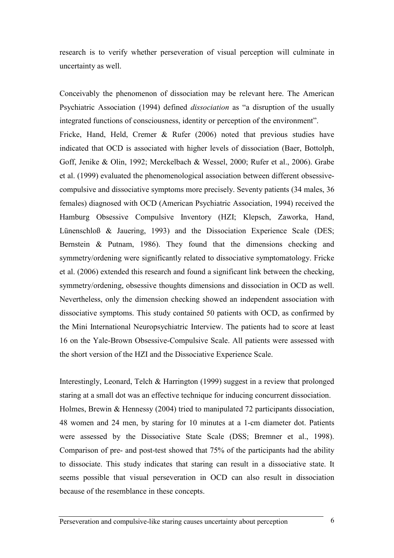research is to verify whether perseveration of visual perception will culminate in uncertainty as well.

Conceivably the phenomenon of dissociation may be relevant here. The American Psychiatric Association (1994) defined dissociation as "a disruption of the usually integrated functions of consciousness, identity or perception of the environment". Fricke, Hand, Held, Cremer & Rufer (2006) noted that previous studies have indicated that OCD is associated with higher levels of dissociation (Baer, Bottolph, Goff, Jenike & Olin, 1992; Merckelbach & Wessel, 2000; Rufer et al., 2006). Grabe et al. (1999) evaluated the phenomenological association between different obsessivecompulsive and dissociative symptoms more precisely. Seventy patients (34 males, 36 females) diagnosed with OCD (American Psychiatric Association, 1994) received the Hamburg Obsessive Compulsive Inventory (HZI; Klepsch, Zaworka, Hand, Lünenschloß & Jauering, 1993) and the Dissociation Experience Scale (DES; Bernstein & Putnam, 1986). They found that the dimensions checking and symmetry/ordening were significantly related to dissociative symptomatology. Fricke et al. (2006) extended this research and found a significant link between the checking, symmetry/ordening, obsessive thoughts dimensions and dissociation in OCD as well. Nevertheless, only the dimension checking showed an independent association with dissociative symptoms. This study contained 50 patients with OCD, as confirmed by the Mini International Neuropsychiatric Interview. The patients had to score at least 16 on the Yale-Brown Obsessive-Compulsive Scale. All patients were assessed with the short version of the HZI and the Dissociative Experience Scale.

Interestingly, Leonard, Telch & Harrington (1999) suggest in a review that prolonged staring at a small dot was an effective technique for inducing concurrent dissociation. Holmes, Brewin & Hennessy (2004) tried to manipulated 72 participants dissociation, 48 women and 24 men, by staring for 10 minutes at a 1-cm diameter dot. Patients were assessed by the Dissociative State Scale (DSS; Bremner et al., 1998). Comparison of pre- and post-test showed that 75% of the participants had the ability to dissociate. This study indicates that staring can result in a dissociative state. It seems possible that visual perseveration in OCD can also result in dissociation because of the resemblance in these concepts.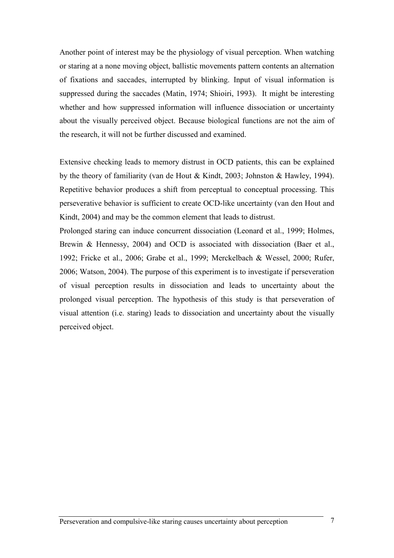Another point of interest may be the physiology of visual perception. When watching or staring at a none moving object, ballistic movements pattern contents an alternation of fixations and saccades, interrupted by blinking. Input of visual information is suppressed during the saccades (Matin, 1974; Shioiri, 1993). It might be interesting whether and how suppressed information will influence dissociation or uncertainty about the visually perceived object. Because biological functions are not the aim of the research, it will not be further discussed and examined.

Extensive checking leads to memory distrust in OCD patients, this can be explained by the theory of familiarity (van de Hout & Kindt, 2003; Johnston & Hawley, 1994). Repetitive behavior produces a shift from perceptual to conceptual processing. This perseverative behavior is sufficient to create OCD-like uncertainty (van den Hout and Kindt, 2004) and may be the common element that leads to distrust.

Prolonged staring can induce concurrent dissociation (Leonard et al., 1999; Holmes, Brewin & Hennessy, 2004) and OCD is associated with dissociation (Baer et al., 1992; Fricke et al., 2006; Grabe et al., 1999; Merckelbach & Wessel, 2000; Rufer, 2006; Watson, 2004). The purpose of this experiment is to investigate if perseveration of visual perception results in dissociation and leads to uncertainty about the prolonged visual perception. The hypothesis of this study is that perseveration of visual attention (i.e. staring) leads to dissociation and uncertainty about the visually perceived object.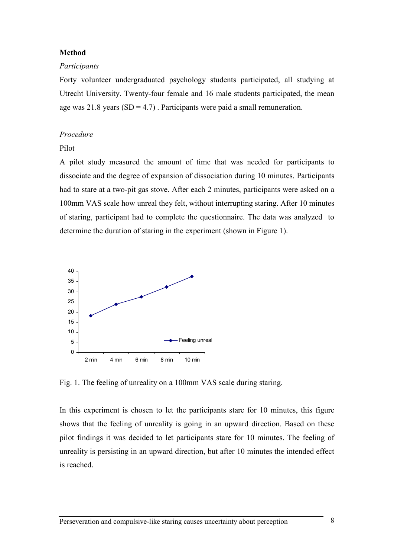### Method

#### Participants

Forty volunteer undergraduated psychology students participated, all studying at Utrecht University. Twenty-four female and 16 male students participated, the mean age was 21.8 years  $(SD = 4.7)$ . Participants were paid a small remuneration.

## Procedure

# Pilot

A pilot study measured the amount of time that was needed for participants to dissociate and the degree of expansion of dissociation during 10 minutes. Participants had to stare at a two-pit gas stove. After each 2 minutes, participants were asked on a 100mm VAS scale how unreal they felt, without interrupting staring. After 10 minutes of staring, participant had to complete the questionnaire. The data was analyzed to determine the duration of staring in the experiment (shown in Figure 1).



Fig. 1. The feeling of unreality on a 100mm VAS scale during staring.

In this experiment is chosen to let the participants stare for 10 minutes, this figure shows that the feeling of unreality is going in an upward direction. Based on these pilot findings it was decided to let participants stare for 10 minutes. The feeling of unreality is persisting in an upward direction, but after 10 minutes the intended effect is reached.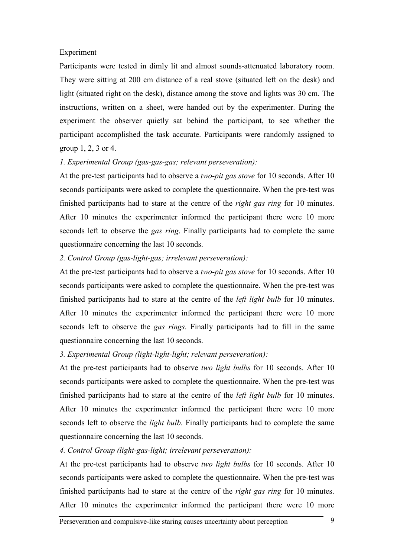### Experiment

Participants were tested in dimly lit and almost sounds-attenuated laboratory room. They were sitting at 200 cm distance of a real stove (situated left on the desk) and light (situated right on the desk), distance among the stove and lights was 30 cm. The instructions, written on a sheet, were handed out by the experimenter. During the experiment the observer quietly sat behind the participant, to see whether the participant accomplished the task accurate. Participants were randomly assigned to group 1, 2, 3 or 4.

## 1. Experimental Group (gas-gas-gas; relevant perseveration):

At the pre-test participants had to observe a *two-pit gas stove* for 10 seconds. After 10 seconds participants were asked to complete the questionnaire. When the pre-test was finished participants had to stare at the centre of the *right gas ring* for 10 minutes. After 10 minutes the experimenter informed the participant there were 10 more seconds left to observe the *gas ring*. Finally participants had to complete the same questionnaire concerning the last 10 seconds.

## 2. Control Group (gas-light-gas; irrelevant perseveration):

At the pre-test participants had to observe a two-pit gas stove for 10 seconds. After 10 seconds participants were asked to complete the questionnaire. When the pre-test was finished participants had to stare at the centre of the left light bulb for 10 minutes. After 10 minutes the experimenter informed the participant there were 10 more seconds left to observe the *gas rings*. Finally participants had to fill in the same questionnaire concerning the last 10 seconds.

# 3. Experimental Group (light-light-light; relevant perseveration):

At the pre-test participants had to observe two light bulbs for 10 seconds. After 10 seconds participants were asked to complete the questionnaire. When the pre-test was finished participants had to stare at the centre of the *left light bulb* for 10 minutes. After 10 minutes the experimenter informed the participant there were 10 more seconds left to observe the *light bulb*. Finally participants had to complete the same questionnaire concerning the last 10 seconds.

# 4. Control Group (light-gas-light; irrelevant perseveration):

At the pre-test participants had to observe two light bulbs for 10 seconds. After 10 seconds participants were asked to complete the questionnaire. When the pre-test was finished participants had to stare at the centre of the right gas ring for 10 minutes. After 10 minutes the experimenter informed the participant there were 10 more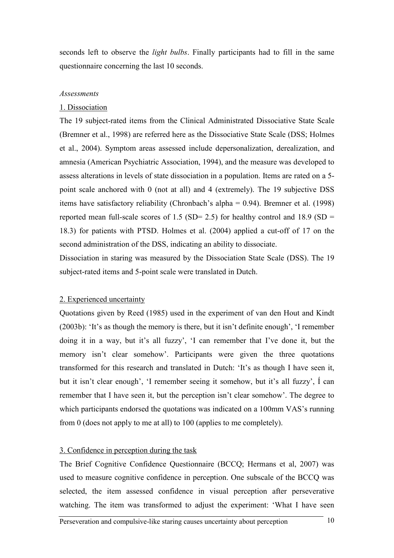seconds left to observe the *light bulbs*. Finally participants had to fill in the same questionnaire concerning the last 10 seconds.

## Assessments

#### 1. Dissociation

The 19 subject-rated items from the Clinical Administrated Dissociative State Scale (Bremner et al., 1998) are referred here as the Dissociative State Scale (DSS; Holmes et al., 2004). Symptom areas assessed include depersonalization, derealization, and amnesia (American Psychiatric Association, 1994), and the measure was developed to assess alterations in levels of state dissociation in a population. Items are rated on a 5 point scale anchored with 0 (not at all) and 4 (extremely). The 19 subjective DSS items have satisfactory reliability (Chronbach's alpha = 0.94). Bremner et al. (1998) reported mean full-scale scores of 1.5 (SD= 2.5) for healthy control and 18.9 (SD = 18.3) for patients with PTSD. Holmes et al. (2004) applied a cut-off of 17 on the second administration of the DSS, indicating an ability to dissociate.

Dissociation in staring was measured by the Dissociation State Scale (DSS). The 19 subject-rated items and 5-point scale were translated in Dutch.

#### 2. Experienced uncertainty

Quotations given by Reed (1985) used in the experiment of van den Hout and Kindt (2003b): 'It's as though the memory is there, but it isn't definite enough', 'I remember doing it in a way, but it's all fuzzy', 'I can remember that I've done it, but the memory isn't clear somehow'. Participants were given the three quotations transformed for this research and translated in Dutch: 'It's as though I have seen it, but it isn't clear enough', 'I remember seeing it somehow, but it's all fuzzy', Í can remember that I have seen it, but the perception isn't clear somehow'. The degree to which participants endorsed the quotations was indicated on a 100mm VAS's running from 0 (does not apply to me at all) to 100 (applies to me completely).

#### 3. Confidence in perception during the task

The Brief Cognitive Confidence Questionnaire (BCCQ; Hermans et al, 2007) was used to measure cognitive confidence in perception. One subscale of the BCCQ was selected, the item assessed confidence in visual perception after perseverative watching. The item was transformed to adjust the experiment: 'What I have seen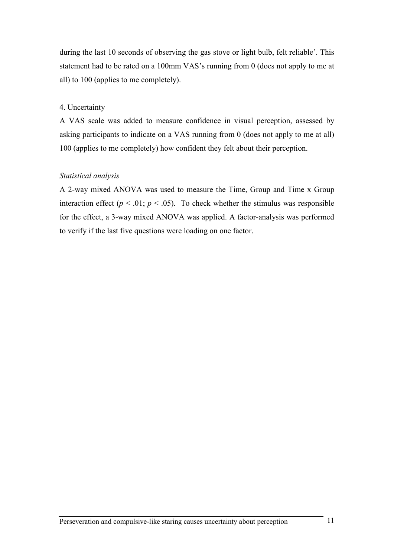during the last 10 seconds of observing the gas stove or light bulb, felt reliable'. This statement had to be rated on a 100mm VAS's running from 0 (does not apply to me at all) to 100 (applies to me completely).

#### 4. Uncertainty

A VAS scale was added to measure confidence in visual perception, assessed by asking participants to indicate on a VAS running from 0 (does not apply to me at all) 100 (applies to me completely) how confident they felt about their perception.

#### Statistical analysis

A 2-way mixed ANOVA was used to measure the Time, Group and Time x Group interaction effect ( $p < .01$ ;  $p < .05$ ). To check whether the stimulus was responsible for the effect, a 3-way mixed ANOVA was applied. A factor-analysis was performed to verify if the last five questions were loading on one factor.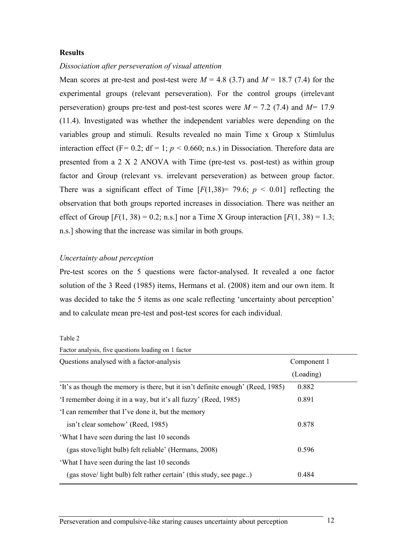### **Results**

#### Dissociation after perseveration of visual attention

Mean scores at pre-test and post-test were  $M = 4.8$  (3.7) and  $M = 18.7$  (7.4) for the experimental groups (relevant perseveration). For the control groups (irrelevant perseveration) groups pre-test and post-test scores were  $M = 7.2$  (7.4) and  $M = 17.9$ (11.4). Investigated was whether the independent variables were depending on the variables group and stimuli. Results revealed no main Time x Group x Stimlulus interaction effect (F= 0.2; df = 1;  $p$  < 0.660; n.s.) in Dissociation. Therefore data are presented from a 2 X 2 ANOVA with Time (pre-test vs. post-test) as within group factor and Group (relevant vs. irrelevant perseveration) as between group factor. There was a significant effect of Time  $[F(1,38) = 79.6; p < 0.01]$  reflecting the observation that both groups reported increases in dissociation. There was neither an effect of Group  $[F(1, 38) = 0.2; n.s.]$  nor a Time X Group interaction  $[F(1, 38) = 1.3;$ n.s.] showing that the increase was similar in both groups.

## Uncertainty about perception

Pre-test scores on the 5 questions were factor-analysed. It revealed a one factor solution of the 3 Reed (1985) items, Hermans et al. (2008) item and our own item. It was decided to take the 5 items as one scale reflecting 'uncertainty about perception' and to calculate mean pre-test and post-test scores for each individual.

| яnг<br>г |  |
|----------|--|
|----------|--|

| Factor analysis, five questions loading on 1 factor                             |             |
|---------------------------------------------------------------------------------|-------------|
| Questions analysed with a factor-analysis                                       | Component 1 |
|                                                                                 | (Loading)   |
| 'It's as though the memory is there, but it isn't definite enough' (Reed, 1985) | 0.882       |
| 'I remember doing it in a way, but it's all fuzzy' (Reed, 1985)                 | 0.891       |
| I can remember that I've done it, but the memory                                |             |
| isn't clear somehow' (Reed, 1985)                                               | 0.878       |
| 'What I have seen during the last 10 seconds                                    |             |
| (gas stove/light bulb) felt reliable' (Hermans, 2008)                           | 0.596       |
| 'What I have seen during the last 10 seconds                                    |             |
| (gas stove/light bulb) felt rather certain' (this study, see page)              | 0.484       |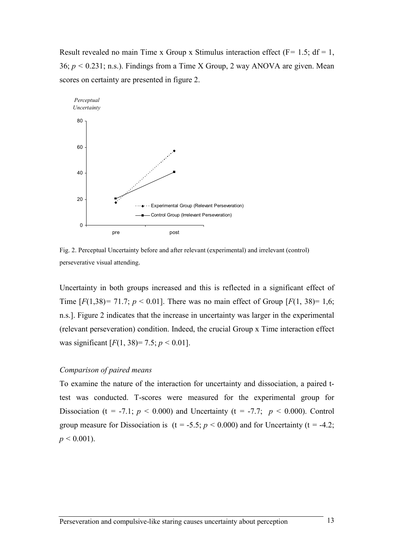Result revealed no main Time x Group x Stimulus interaction effect ( $F = 1.5$ ; df = 1, 36;  $p < 0.231$ ; n.s.). Findings from a Time X Group, 2 way ANOVA are given. Mean scores on certainty are presented in figure 2.



Fig. 2. Perceptual Uncertainty before and after relevant (experimental) and irrelevant (control) perseverative visual attending.

Uncertainty in both groups increased and this is reflected in a significant effect of Time  $[F(1,38) = 71.7; p < 0.01]$ . There was no main effect of Group  $[F(1, 38) = 1.6;$ n.s.]. Figure 2 indicates that the increase in uncertainty was larger in the experimental (relevant perseveration) condition. Indeed, the crucial Group x Time interaction effect was significant  $[F(1, 38)=7.5; p < 0.01]$ .

#### Comparison of paired means

To examine the nature of the interaction for uncertainty and dissociation, a paired ttest was conducted. T-scores were measured for the experimental group for Dissociation (t = -7.1;  $p < 0.000$ ) and Uncertainty (t = -7.7;  $p < 0.000$ ). Control group measure for Dissociation is  $(t = -5.5; p < 0.000)$  and for Uncertainty  $(t = -4.2;$  $p \leq 0.001$ ).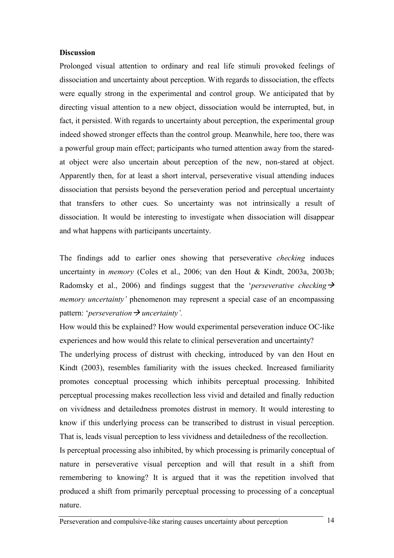### **Discussion**

Prolonged visual attention to ordinary and real life stimuli provoked feelings of dissociation and uncertainty about perception. With regards to dissociation, the effects were equally strong in the experimental and control group. We anticipated that by directing visual attention to a new object, dissociation would be interrupted, but, in fact, it persisted. With regards to uncertainty about perception, the experimental group indeed showed stronger effects than the control group. Meanwhile, here too, there was a powerful group main effect; participants who turned attention away from the staredat object were also uncertain about perception of the new, non-stared at object. Apparently then, for at least a short interval, perseverative visual attending induces dissociation that persists beyond the perseveration period and perceptual uncertainty that transfers to other cues. So uncertainty was not intrinsically a result of dissociation. It would be interesting to investigate when dissociation will disappear and what happens with participants uncertainty.

The findings add to earlier ones showing that perseverative checking induces uncertainty in memory (Coles et al., 2006; van den Hout & Kindt, 2003a, 2003b; Radomsky et al., 2006) and findings suggest that the *'perseverative checking*  $\rightarrow$ memory uncertainty' phenomenon may represent a special case of an encompassing pattern: '*perseveration*  $\rightarrow$  *uncertainty'*.

How would this be explained? How would experimental perseveration induce OC-like experiences and how would this relate to clinical perseveration and uncertainty?

The underlying process of distrust with checking, introduced by van den Hout en Kindt (2003), resembles familiarity with the issues checked. Increased familiarity promotes conceptual processing which inhibits perceptual processing. Inhibited perceptual processing makes recollection less vivid and detailed and finally reduction on vividness and detailedness promotes distrust in memory. It would interesting to know if this underlying process can be transcribed to distrust in visual perception. That is, leads visual perception to less vividness and detailedness of the recollection.

Is perceptual processing also inhibited, by which processing is primarily conceptual of nature in perseverative visual perception and will that result in a shift from remembering to knowing? It is argued that it was the repetition involved that produced a shift from primarily perceptual processing to processing of a conceptual nature.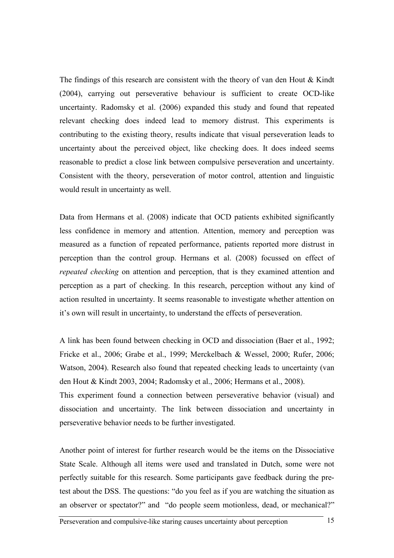The findings of this research are consistent with the theory of van den Hout & Kindt (2004), carrying out perseverative behaviour is sufficient to create OCD-like uncertainty. Radomsky et al. (2006) expanded this study and found that repeated relevant checking does indeed lead to memory distrust. This experiments is contributing to the existing theory, results indicate that visual perseveration leads to uncertainty about the perceived object, like checking does. It does indeed seems reasonable to predict a close link between compulsive perseveration and uncertainty. Consistent with the theory, perseveration of motor control, attention and linguistic would result in uncertainty as well.

Data from Hermans et al. (2008) indicate that OCD patients exhibited significantly less confidence in memory and attention. Attention, memory and perception was measured as a function of repeated performance, patients reported more distrust in perception than the control group. Hermans et al. (2008) focussed on effect of repeated checking on attention and perception, that is they examined attention and perception as a part of checking. In this research, perception without any kind of action resulted in uncertainty. It seems reasonable to investigate whether attention on it's own will result in uncertainty, to understand the effects of perseveration.

A link has been found between checking in OCD and dissociation (Baer et al., 1992; Fricke et al., 2006; Grabe et al., 1999; Merckelbach & Wessel, 2000; Rufer, 2006; Watson, 2004). Research also found that repeated checking leads to uncertainty (van den Hout & Kindt 2003, 2004; Radomsky et al., 2006; Hermans et al., 2008). This experiment found a connection between perseverative behavior (visual) and dissociation and uncertainty. The link between dissociation and uncertainty in perseverative behavior needs to be further investigated.

Another point of interest for further research would be the items on the Dissociative State Scale. Although all items were used and translated in Dutch, some were not perfectly suitable for this research. Some participants gave feedback during the pretest about the DSS. The questions: "do you feel as if you are watching the situation as an observer or spectator?" and "do people seem motionless, dead, or mechanical?"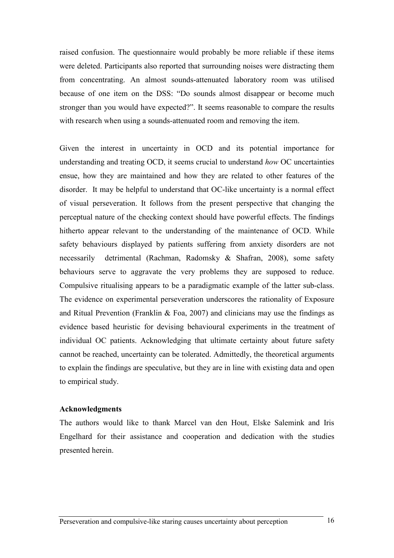raised confusion. The questionnaire would probably be more reliable if these items were deleted. Participants also reported that surrounding noises were distracting them from concentrating. An almost sounds-attenuated laboratory room was utilised because of one item on the DSS: "Do sounds almost disappear or become much stronger than you would have expected?". It seems reasonable to compare the results with research when using a sounds-attenuated room and removing the item.

Given the interest in uncertainty in OCD and its potential importance for understanding and treating OCD, it seems crucial to understand how OC uncertainties ensue, how they are maintained and how they are related to other features of the disorder. It may be helpful to understand that OC-like uncertainty is a normal effect of visual perseveration. It follows from the present perspective that changing the perceptual nature of the checking context should have powerful effects. The findings hitherto appear relevant to the understanding of the maintenance of OCD. While safety behaviours displayed by patients suffering from anxiety disorders are not necessarily detrimental (Rachman, Radomsky & Shafran, 2008), some safety behaviours serve to aggravate the very problems they are supposed to reduce. Compulsive ritualising appears to be a paradigmatic example of the latter sub-class. The evidence on experimental perseveration underscores the rationality of Exposure and Ritual Prevention (Franklin  $\&$  Foa, 2007) and clinicians may use the findings as evidence based heuristic for devising behavioural experiments in the treatment of individual OC patients. Acknowledging that ultimate certainty about future safety cannot be reached, uncertainty can be tolerated. Admittedly, the theoretical arguments to explain the findings are speculative, but they are in line with existing data and open to empirical study.

### Acknowledgments

The authors would like to thank Marcel van den Hout, Elske Salemink and Iris Engelhard for their assistance and cooperation and dedication with the studies presented herein.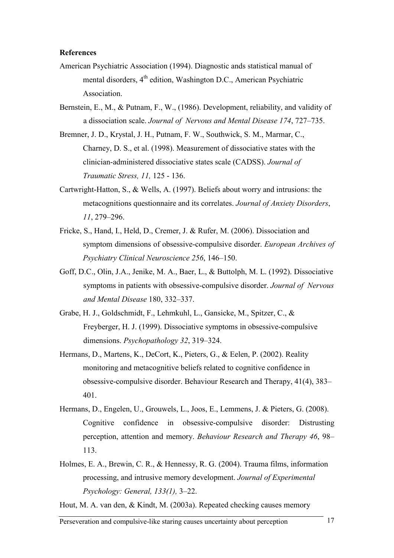#### **References**

- American Psychiatric Association (1994). Diagnostic ands statistical manual of mental disorders, 4<sup>th</sup> edition, Washington D.C., American Psychiatric Association.
- Bernstein, E., M., & Putnam, F., W., (1986). Development, reliability, and validity of a dissociation scale. Journal of Nervous and Mental Disease 174, 727–735.
- Bremner, J. D., Krystal, J. H., Putnam, F. W., Southwick, S. M., Marmar, C., Charney, D. S., et al. (1998). Measurement of dissociative states with the clinician-administered dissociative states scale (CADSS). Journal of Traumatic Stress, 11, 125 - 136.
- Cartwright-Hatton, S., & Wells, A. (1997). Beliefs about worry and intrusions: the metacognitions questionnaire and its correlates. Journal of Anxiety Disorders, 11, 279–296.
- Fricke, S., Hand, I., Held, D., Cremer, J. & Rufer, M. (2006). Dissociation and symptom dimensions of obsessive-compulsive disorder. European Archives of Psychiatry Clinical Neuroscience 256, 146–150.
- Goff, D.C., Olin, J.A., Jenike, M. A., Baer, L., & Buttolph, M. L. (1992). Dissociative symptoms in patients with obsessive-compulsive disorder. Journal of Nervous and Mental Disease 180, 332–337.
- Grabe, H. J., Goldschmidt, F., Lehmkuhl, L., Gansicke, M., Spitzer, C., & Freyberger, H. J. (1999). Dissociative symptoms in obsessive-compulsive dimensions. Psychopathology 32, 319–324.
- Hermans, D., Martens, K., DeCort, K., Pieters, G., & Eelen, P. (2002). Reality monitoring and metacognitive beliefs related to cognitive confidence in obsessive-compulsive disorder. Behaviour Research and Therapy, 41(4), 383– 401.
- Hermans, D., Engelen, U., Grouwels, L., Joos, E., Lemmens, J. & Pieters, G. (2008). Cognitive confidence in obsessive-compulsive disorder: Distrusting perception, attention and memory. Behaviour Research and Therapy 46, 98– 113.
- Holmes, E. A., Brewin, C. R., & Hennessy, R. G. (2004). Trauma films, information processing, and intrusive memory development. Journal of Experimental Psychology: General, 133(1), 3–22.
- Hout, M. A. van den, & Kindt, M. (2003a). Repeated checking causes memory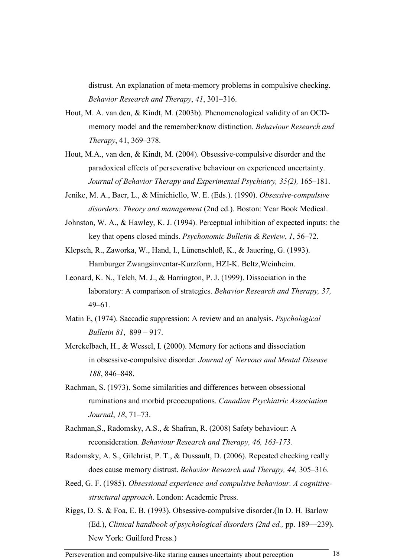distrust. An explanation of meta-memory problems in compulsive checking. Behavior Research and Therapy, 41, 301–316.

- Hout, M. A. van den, & Kindt, M. (2003b). Phenomenological validity of an OCDmemory model and the remember/know distinction. Behaviour Research and Therapy, 41, 369–378.
- Hout, M.A., van den, & Kindt, M. (2004). Obsessive-compulsive disorder and the paradoxical effects of perseverative behaviour on experienced uncertainty. Journal of Behavior Therapy and Experimental Psychiatry, 35(2), 165–181.
- Jenike, M. A., Baer, L., & Minichiello, W. E. (Eds.). (1990). Obsessive-compulsive disorders: Theory and management (2nd ed.). Boston: Year Book Medical.
- Johnston, W. A., & Hawley, K. J. (1994). Perceptual inhibition of expected inputs: the key that opens closed minds. Psychonomic Bulletin & Review, 1, 56–72.
- Klepsch, R., Zaworka, W., Hand, I., Lünenschloß, K., & Jauering, G. (1993). Hamburger Zwangsinventar-Kurzform, HZI-K. Beltz,Weinheim.
- Leonard, K. N., Telch, M. J., & Harrington, P. J. (1999). Dissociation in the laboratory: A comparison of strategies. Behavior Research and Therapy, 37, 49–61.
- Matin E, (1974). Saccadic suppression: A review and an analysis. Psychological Bulletin 81, 899 – 917.
- Merckelbach, H., & Wessel, I. (2000). Memory for actions and dissociation in obsessive-compulsive disorder. Journal of Nervous and Mental Disease 188, 846–848.
- Rachman, S. (1973). Some similarities and differences between obsessional ruminations and morbid preoccupations. Canadian Psychiatric Association Journal, 18, 71–73.
- Rachman,S., Radomsky, A.S., & Shafran, R. (2008) Safety behaviour: A reconsideration. Behaviour Research and Therapy, 46, 163-173.
- Radomsky, A. S., Gilchrist, P. T., & Dussault, D. (2006). Repeated checking really does cause memory distrust. Behavior Research and Therapy, 44, 305–316.
- Reed, G. F. (1985). Obsessional experience and compulsive behaviour. A cognitivestructural approach. London: Academic Press.
- Riggs, D. S. & Foa, E. B. (1993). Obsessive-compulsive disorder.(In D. H. Barlow (Ed.), Clinical handbook of psychological disorders (2nd ed., pp. 189—239). New York: Guilford Press.)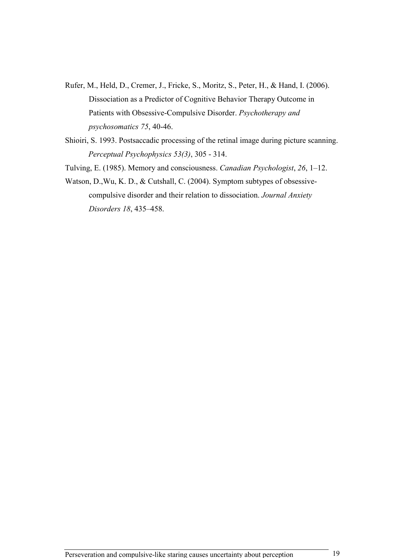- Rufer, M., Held, D., Cremer, J., Fricke, S., Moritz, S., Peter, H., & Hand, I. (2006). Dissociation as a Predictor of Cognitive Behavior Therapy Outcome in Patients with Obsessive-Compulsive Disorder. Psychotherapy and psychosomatics 75, 40-46.
- Shioiri, S. 1993. Postsaccadic processing of the retinal image during picture scanning. Perceptual Psychophysics 53(3), 305 - 314.
- Tulving, E. (1985). Memory and consciousness. Canadian Psychologist, 26, 1–12.
- Watson, D.,Wu, K. D., & Cutshall, C. (2004). Symptom subtypes of obsessivecompulsive disorder and their relation to dissociation. Journal Anxiety Disorders 18, 435–458.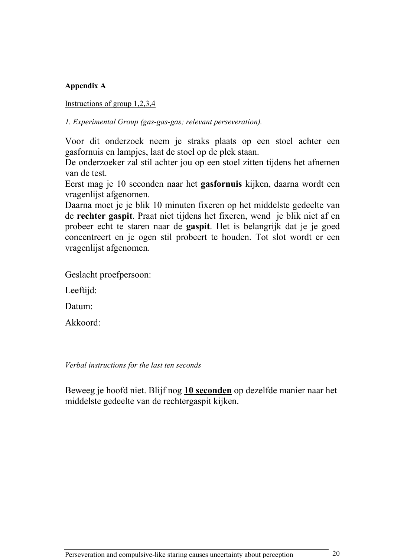# Appendix A

Instructions of group 1,2,3,4

1. Experimental Group (gas-gas-gas; relevant perseveration).

Voor dit onderzoek neem je straks plaats op een stoel achter een gasfornuis en lampjes, laat de stoel op de plek staan.

De onderzoeker zal stil achter jou op een stoel zitten tijdens het afnemen van de test.

Eerst mag je 10 seconden naar het gasfornuis kijken, daarna wordt een vragenlijst afgenomen.

Daarna moet je je blik 10 minuten fixeren op het middelste gedeelte van de rechter gaspit. Praat niet tijdens het fixeren, wend je blik niet af en probeer echt te staren naar de gaspit. Het is belangrijk dat je je goed concentreert en je ogen stil probeert te houden. Tot slot wordt er een vragenlijst afgenomen.

Geslacht proefpersoon:

Leeftijd:

Datum:

Akkoord:

Verbal instructions for the last ten seconds

Beweeg je hoofd niet. Blijf nog 10 seconden op dezelfde manier naar het middelste gedeelte van de rechtergaspit kijken.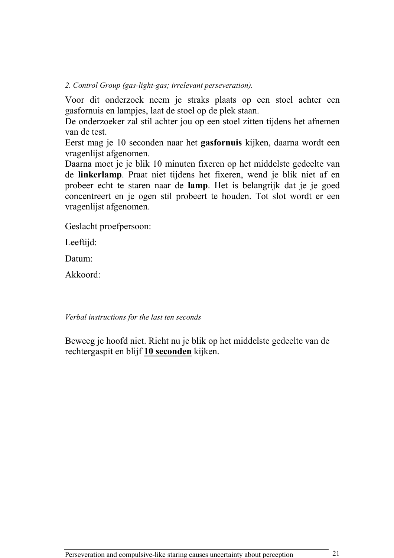2. Control Group (gas-light-gas; irrelevant perseveration).

Voor dit onderzoek neem je straks plaats op een stoel achter een gasfornuis en lampjes, laat de stoel op de plek staan.

De onderzoeker zal stil achter jou op een stoel zitten tijdens het afnemen van de test.

Eerst mag je 10 seconden naar het gasfornuis kijken, daarna wordt een vragenlijst afgenomen.

Daarna moet je je blik 10 minuten fixeren op het middelste gedeelte van de linkerlamp. Praat niet tijdens het fixeren, wend je blik niet af en probeer echt te staren naar de lamp. Het is belangrijk dat je je goed concentreert en je ogen stil probeert te houden. Tot slot wordt er een vragenlijst afgenomen.

Geslacht proefpersoon:

Leeftijd:

Datum:

Akkoord:

Verbal instructions for the last ten seconds

Beweeg je hoofd niet. Richt nu je blik op het middelste gedeelte van de rechtergaspit en blijf 10 seconden kijken.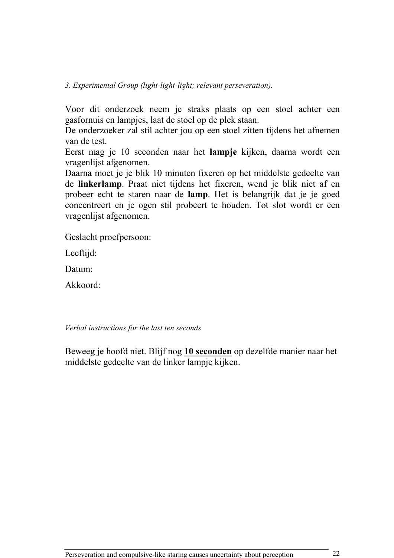Voor dit onderzoek neem je straks plaats op een stoel achter een gasfornuis en lampjes, laat de stoel op de plek staan.

De onderzoeker zal stil achter jou op een stoel zitten tijdens het afnemen van de test.

Eerst mag je 10 seconden naar het lampje kijken, daarna wordt een vragenlijst afgenomen.

Daarna moet je je blik 10 minuten fixeren op het middelste gedeelte van de linkerlamp. Praat niet tijdens het fixeren, wend je blik niet af en probeer echt te staren naar de lamp. Het is belangrijk dat je je goed concentreert en je ogen stil probeert te houden. Tot slot wordt er een vragenlijst afgenomen.

Geslacht proefpersoon:

Leeftijd:

Datum:

Akkoord:

Verbal instructions for the last ten seconds

Beweeg je hoofd niet. Blijf nog 10 seconden op dezelfde manier naar het middelste gedeelte van de linker lampje kijken.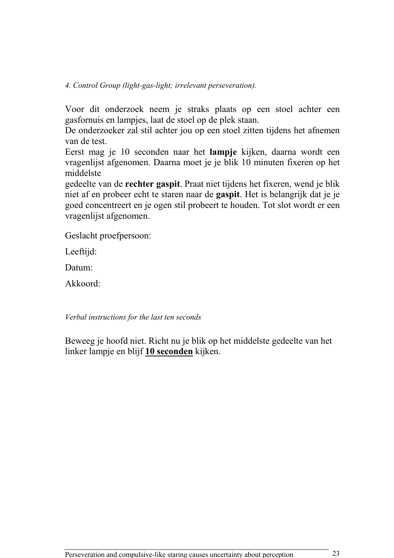4. Control Group (light-gas-light; irrelevant perseveration).

Voor dit onderzoek neem je straks plaats op een stoel achter een gasfornuis en lampjes, laat de stoel op de plek staan.

De onderzoeker zal stil achter jou op een stoel zitten tijdens het afnemen van de test.

Eerst mag je 10 seconden naar het lampje kijken, daarna wordt een vragenlijst afgenomen. Daarna moet je je blik 10 minuten fixeren op het middelste

gedeelte van de rechter gaspit. Praat niet tijdens het fixeren, wend je blik niet af en probeer echt te staren naar de gaspit. Het is belangrijk dat je je goed concentreert en je ogen stil probeert te houden. Tot slot wordt er een vragenlijst afgenomen.

Geslacht proefpersoon:

Leeftijd:

Datum:

Akkoord:

Verbal instructions for the last ten seconds

Beweeg je hoofd niet. Richt nu je blik op het middelste gedeelte van het linker lampje en blijf 10 seconden kijken.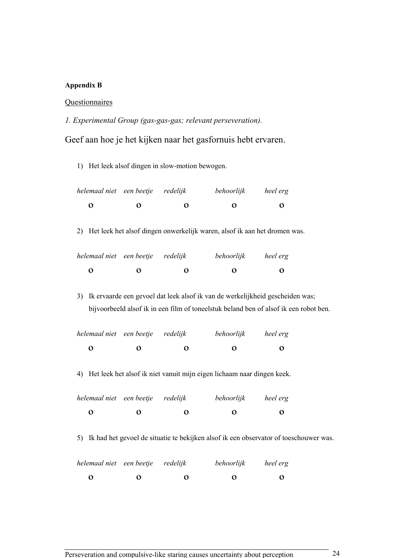### Appendix B

## **Questionnaires**

1. Experimental Group (gas-gas-gas; relevant perseveration).

Geef aan hoe je het kijken naar het gasfornuis hebt ervaren.

1) Het leek alsof dingen in slow-motion bewogen.

| helemaal niet een beetje redelijk |          |                      | behoorlijk        | heel erg |
|-----------------------------------|----------|----------------------|-------------------|----------|
| O                                 | $\cdots$ | $\ddot{\phantom{a}}$ | $\mathbf{\Omega}$ | $\Omega$ |

2) Het leek het alsof dingen onwerkelijk waren, alsof ik aan het dromen was.

| helemaal niet een beetje redelijk |          |   | behoorlijk | heel erg |
|-----------------------------------|----------|---|------------|----------|
| O                                 | $\cdots$ | 0 | $\cdots$   | $\Omega$ |

3) Ik ervaarde een gevoel dat leek alsof ik van de werkelijkheid gescheiden was; bijvoorbeeld alsof ik in een film of toneelstuk beland ben of alsof ik een robot ben.

| helemaal niet een beetje redelijk |   |   | behoorlijk | heel erg     |
|-----------------------------------|---|---|------------|--------------|
| O                                 | 0 | 0 | 0          | $\mathbf{a}$ |
|                                   |   |   |            |              |

4) Het leek het alsof ik niet vanuit mijn eigen lichaam naar dingen keek.

| helemaal niet een beetje redelijk |                   |                   | behoorlijk | heel erg |
|-----------------------------------|-------------------|-------------------|------------|----------|
| Ω                                 | $\mathbf{\Omega}$ | $\mathbf{\Omega}$ | $\bullet$  | $\bf{O}$ |

5) Ik had het gevoel de situatie te bekijken alsof ik een observator of toeschouwer was.

| helemaal niet een beetje redelijk |                   |   | behoorlijk | heel erg |
|-----------------------------------|-------------------|---|------------|----------|
| О                                 | $\mathbf{\Omega}$ | Ω | $\Omega$   | $\Omega$ |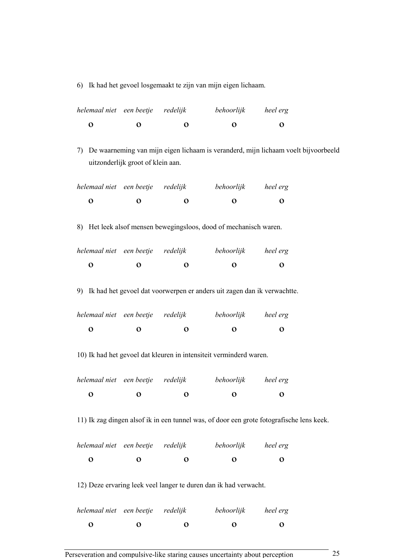6) Ik had het gevoel losgemaakt te zijn van mijn eigen lichaam.

| helemaal niet een beetje redelijk |           |                   | behoorlijk | heel erg |
|-----------------------------------|-----------|-------------------|------------|----------|
| O                                 | $\bullet$ | $\mathbf{\Omega}$ | $\bullet$  | $\bf{O}$ |

7) De waarneming van mijn eigen lichaam is veranderd, mijn lichaam voelt bijvoorbeeld uitzonderlijk groot of klein aan.

| helemaal niet een beetje redelijk |   | behoorlijk        | heel erg |
|-----------------------------------|---|-------------------|----------|
| $\Omega$                          | Ω | $\mathbf{\Omega}$ | $\Omega$ |
|                                   |   |                   |          |

8) Het leek alsof mensen bewegingsloos, dood of mechanisch waren.

| helemaal niet een beetje redelijk |                   |                   | behoorlijk        | heel erg     |
|-----------------------------------|-------------------|-------------------|-------------------|--------------|
| O                                 | $\mathbf{\Omega}$ | $\mathbf{\Omega}$ | $\mathbf{\Omega}$ | $\mathbf{U}$ |

9) Ik had het gevoel dat voorwerpen er anders uit zagen dan ik verwachtte.

| helemaal niet een beetje redelijk |                   |   | behoorlijk        | heel erg |
|-----------------------------------|-------------------|---|-------------------|----------|
| o                                 | $\mathbf{\Omega}$ | 0 | $\mathbf{\Omega}$ | 0        |

10) Ik had het gevoel dat kleuren in intensiteit verminderd waren.

| helemaal niet een beetje redelijk |                   |                   | behoorlijk | heel erg             |
|-----------------------------------|-------------------|-------------------|------------|----------------------|
| Ω                                 | $\mathbf{\Omega}$ | $\mathbf{\Omega}$ | 0          | $\ddot{\phantom{0}}$ |
|                                   |                   |                   |            |                      |

11) Ik zag dingen alsof ik in een tunnel was, of door een grote fotografische lens keek.

| helemaal niet een beetje redelijk |   |     | behoorlijk | heel erg |
|-----------------------------------|---|-----|------------|----------|
| $\bullet$                         | 0 | . . | 0          | . .      |
|                                   |   |     |            |          |

12) Deze ervaring leek veel langer te duren dan ik had verwacht.

| helemaal niet een beetje redelijk |                   |   | behoorlijk           | heel erg |
|-----------------------------------|-------------------|---|----------------------|----------|
| Ω                                 | $\mathbf{\Omega}$ | Ω | $\ddot{\phantom{a}}$ | 0        |
|                                   |                   |   |                      |          |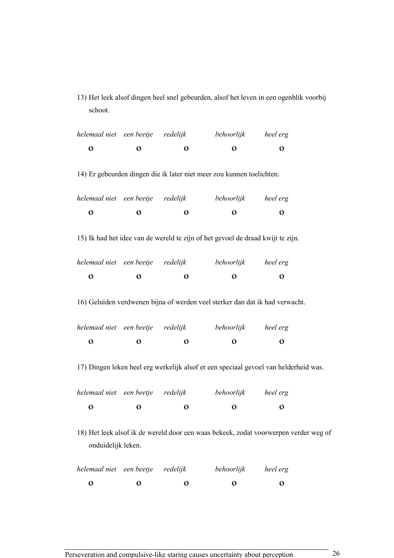13) Het leek alsof dingen heel snel gebeurden, alsof het leven in een ogenblik voorbij schoot.

| helemaal niet een beetje                                                                                   |                     | redelijk     | behoorlijk                                                                      | heel erg     |  |  |  |
|------------------------------------------------------------------------------------------------------------|---------------------|--------------|---------------------------------------------------------------------------------|--------------|--|--|--|
| $\mathbf O$                                                                                                | $\mathbf O$         | O            | $\mathbf o$                                                                     | $\mathbf 0$  |  |  |  |
| 14) Er gebeurden dingen die ik later niet meer zou kunnen toelichten.                                      |                     |              |                                                                                 |              |  |  |  |
| helemaal niet een beetje                                                                                   |                     | redelijk     | behoorlijk                                                                      | heel erg     |  |  |  |
| $\mathbf{o}$                                                                                               | $\mathbf O$         | $\mathbf o$  | $\mathbf o$                                                                     | $\mathbf o$  |  |  |  |
|                                                                                                            |                     |              | 15) Ik had het idee van de wereld te zijn of het gevoel de draad kwijt te zijn. |              |  |  |  |
| helemaal niet een beetje redelijk                                                                          |                     |              | behoorlijk heel erg                                                             |              |  |  |  |
| $\mathbf O$                                                                                                | $\mathbf O$         | $\mathbf 0$  | $\mathbf 0$                                                                     | $\mathbf o$  |  |  |  |
|                                                                                                            |                     |              | 16) Geluiden verdwenen bijna of werden veel sterker dan dat ik had verwacht.    |              |  |  |  |
| helemaal niet een beetje redelijk                                                                          |                     |              | behoorlijk heel erg                                                             |              |  |  |  |
| $\mathbf 0$                                                                                                | $\mathbf O$         | $\mathbf{o}$ | $\mathbf O$                                                                     | $\mathbf{o}$ |  |  |  |
| 17) Dingen leken heel erg werkelijk alsof er een speciaal gevoel van helderheid was.                       |                     |              |                                                                                 |              |  |  |  |
| helemaal niet                                                                                              | een beetje redelijk |              | behoorlijk                                                                      | heel erg     |  |  |  |
| $\mathbf O$                                                                                                | $\mathbf{o}$        | $\mathbf O$  | $\mathbf{o}$                                                                    | $\mathbf{o}$ |  |  |  |
| 18) Het leek alsof ik de wereld door een waas bekeek, zodat voorwerpen verder weg of<br>onduidelijk leken. |                     |              |                                                                                 |              |  |  |  |
| helemaal niet                                                                                              | een beetje redelijk |              | behoorlijk                                                                      | heel erg     |  |  |  |
| $\mathbf O$                                                                                                | $\mathbf O$         | $\mathbf o$  | $\mathbf o$                                                                     | $\mathbf{o}$ |  |  |  |

Perseveration and compulsive-like staring causes uncertainty about perception 26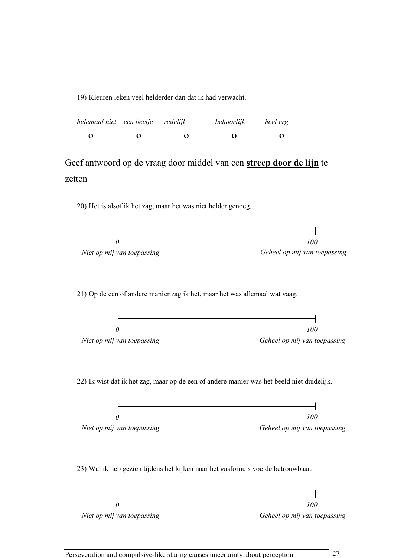19) Kleuren leken veel helderder dan dat ik had verwacht.

| helemaal niet een beetje redelijk |   |                  | behoorlijk | heel erg |
|-----------------------------------|---|------------------|------------|----------|
| O                                 | 0 | $\mathbf \Omega$ | $\bullet$  | 0        |

Geef antwoord op de vraag door middel van een streep door de lijn te zetten

20) Het is alsof ik het zag, maar het was niet helder genoeg.



21) Op de een of andere manier zag ik het, maar het was allemaal wat vaag.



22) Ik wist dat ik het zag, maar op de een of andere manier was het beeld niet duidelijk.



23) Wat ik heb gezien tijdens het kijken naar het gasfornuis voelde betrouwbaar.

|                            | 100                          |
|----------------------------|------------------------------|
| Niet op mij van toepassing | Geheel op mij van toepassing |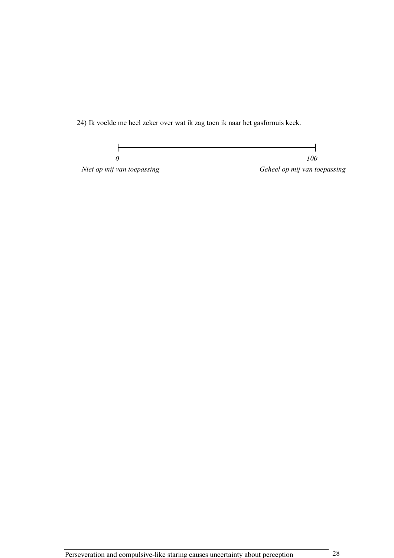24) Ik voelde me heel zeker over wat ik zag toen ik naar het gasfornuis keek.

 $\overline{\phantom{a}}$ J. 100 0 Niet op mij van toepassing die eerste van die Geheel op mij van toepassing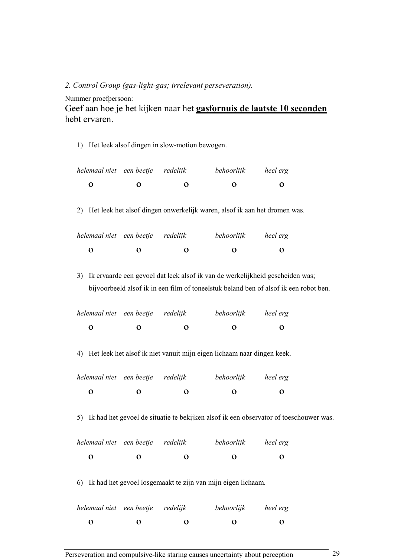#### 2. Control Group (gas-light-gas; irrelevant perseveration).

Nummer proefpersoon:

Geef aan hoe je het kijken naar het gasfornuis de laatste 10 seconden hebt ervaren.

1) Het leek alsof dingen in slow-motion bewogen.

| helemaal niet een beetje redelijk |                   |                  | behoorlijk | heel erg |
|-----------------------------------|-------------------|------------------|------------|----------|
| O                                 | $\mathbf{\Omega}$ | $\mathbf \Omega$ | 0          | 0        |

2) Het leek het alsof dingen onwerkelijk waren, alsof ik aan het dromen was.

| behoorlijk | heel erg          |
|------------|-------------------|
| 0          | $\mathbf{\Omega}$ |
|            |                   |

3) Ik ervaarde een gevoel dat leek alsof ik van de werkelijkheid gescheiden was; bijvoorbeeld alsof ik in een film of toneelstuk beland ben of alsof ik een robot ben.

| helemaal niet een beetje redelijk |        | behoorlijk        | heel erg |
|-----------------------------------|--------|-------------------|----------|
| o                                 | Ω<br>0 | $\mathbf{\Omega}$ | 0        |

4) Het leek het alsof ik niet vanuit mijn eigen lichaam naar dingen keek.

| helemaal niet een beetje redelijk |   |   | behoorlijk | heel erg |
|-----------------------------------|---|---|------------|----------|
| О                                 | 0 | 0 | $\bullet$  | 0        |
|                                   |   |   |            |          |

5) Ik had het gevoel de situatie te bekijken alsof ik een observator of toeschouwer was.

| helemaal niet een beetje redelijk |   | behoorlijk | heel erg |
|-----------------------------------|---|------------|----------|
| റ<br>0                            | Ω | $\bullet$  | $\Omega$ |

6) Ik had het gevoel losgemaakt te zijn van mijn eigen lichaam.

| helemaal niet een beetje redelijk |                   |                   | behoorlijk           | heel erg          |
|-----------------------------------|-------------------|-------------------|----------------------|-------------------|
| o                                 | $\mathbf{\Omega}$ | $\mathbf{\Omega}$ | $\ddot{\phantom{0}}$ | $\mathbf{\Omega}$ |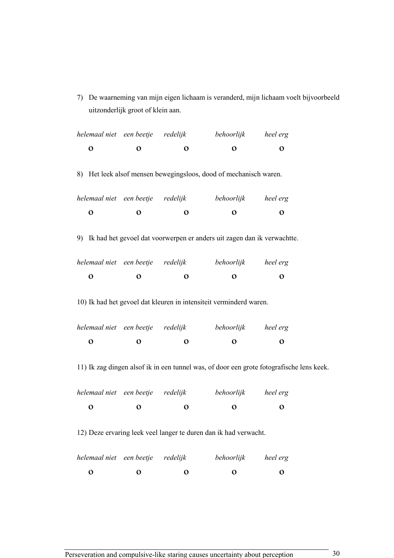7) De waarneming van mijn eigen lichaam is veranderd, mijn lichaam voelt bijvoorbeeld uitzonderlijk groot of klein aan.

| helemaal niet een beetje redelijk |              |              | behoorlijk heel erg                                                                      |              |  |
|-----------------------------------|--------------|--------------|------------------------------------------------------------------------------------------|--------------|--|
| $\mathbf O$                       | $\mathbf{o}$ | $\mathbf{o}$ | $\mathbf 0$                                                                              | $\mathbf{o}$ |  |
|                                   |              |              | 8) Het leek alsof mensen bewegingsloos, dood of mechanisch waren.                        |              |  |
| helemaal niet een beetje redelijk |              |              | behoorlijk heel erg                                                                      |              |  |
| $\mathbf{o}$                      | $\mathbf 0$  | $\mathbf{o}$ | $\mathbf{o}$                                                                             | $\mathbf{o}$ |  |
|                                   |              |              | 9) Ik had het gevoel dat voorwerpen er anders uit zagen dan ik verwachtte.               |              |  |
| helemaal niet een beetje redelijk |              |              | behoorlijk heel erg                                                                      |              |  |
| $\mathbf 0$                       | $\mathbf 0$  | $\mathbf 0$  | $\mathbf{o}$                                                                             | $\mathbf 0$  |  |
|                                   |              |              | 10) Ik had het gevoel dat kleuren in intensiteit verminderd waren.                       |              |  |
| helemaal niet een beetje redelijk |              |              | behoorlijk heel erg                                                                      |              |  |
| $\mathbf 0$                       | $\mathbf 0$  | $\mathbf{o}$ | $\mathbf 0$                                                                              | $\mathbf 0$  |  |
|                                   |              |              | 11) Ik zag dingen alsof ik in een tunnel was, of door een grote fotografische lens keek. |              |  |
| helemaal niet een beetje redelijk |              |              | behoorlijk heel erg                                                                      |              |  |
| $\mathbf 0$                       | $\mathbf{o}$ | $\mathbf{o}$ | $\mathbf 0$                                                                              | $\mathbf{o}$ |  |
|                                   |              |              | 12) Deze ervaring leek veel langer te duren dan ik had verwacht.                         |              |  |
| helemaal niet een beetje          |              | redelijk     | behoorlijk                                                                               | heel erg     |  |

 $\begin{array}{ccccccc}\n0 & 0 & 0 & 0 & 0\n\end{array}$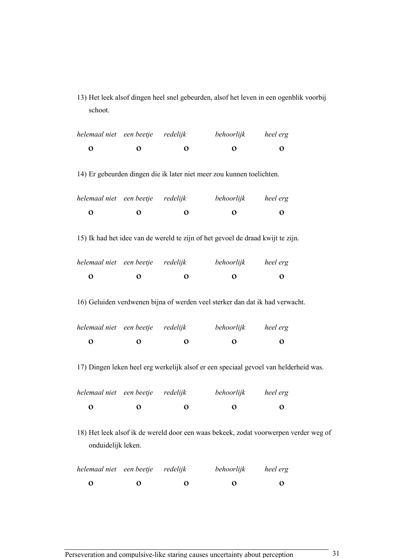13) Het leek alsof dingen heel snel gebeurden, alsof het leven in een ogenblik voorbij schoot.

| helemaal niet een beetje          |                     | redelijk     | behoorlijk                                                                      | heel erg                                                                             |  |
|-----------------------------------|---------------------|--------------|---------------------------------------------------------------------------------|--------------------------------------------------------------------------------------|--|
| $\mathbf O$                       | $\mathbf{o}$        | $\mathbf 0$  | $\mathbf 0$                                                                     | $\mathbf 0$                                                                          |  |
|                                   |                     |              | 14) Er gebeurden dingen die ik later niet meer zou kunnen toelichten.           |                                                                                      |  |
| helemaal niet een beetje          |                     | redelijk     | behoorlijk                                                                      | heel erg                                                                             |  |
| $\mathbf{o}$                      | $\mathbf{o}$        | $\mathbf o$  | $\mathbf{o}$                                                                    | $\mathbf{o}$                                                                         |  |
|                                   |                     |              | 15) Ik had het idee van de wereld te zijn of het gevoel de draad kwijt te zijn. |                                                                                      |  |
| helemaal niet een beetje          |                     | redelijk     | behoorlijk                                                                      | heel erg                                                                             |  |
| $\mathbf 0$                       | $\mathbf{o}$        | $\mathbf{o}$ | $\mathbf{o}$                                                                    | $\mathbf o$                                                                          |  |
|                                   |                     |              | 16) Geluiden verdwenen bijna of werden veel sterker dan dat ik had verwacht.    |                                                                                      |  |
| helemaal niet                     | een beetje redelijk |              | behoorlijk                                                                      | heel erg                                                                             |  |
| $\mathbf 0$                       | $\mathbf{o}$        | $\mathbf o$  | $\mathbf{o}$                                                                    | $\mathbf{o}$                                                                         |  |
|                                   |                     |              |                                                                                 | 17) Dingen leken heel erg werkelijk alsof er een speciaal gevoel van helderheid was. |  |
| helemaal niet een beetje redelijk |                     |              | behoorlijk                                                                      | heel erg                                                                             |  |
| $\mathbf{o}$                      | $\mathbf O$         | $\mathbf{o}$ | $\mathbf{o}$                                                                    | $\mathbf{o}$                                                                         |  |
| onduidelijk leken.                |                     |              |                                                                                 | 18) Het leek alsof ik de wereld door een waas bekeek, zodat voorwerpen verder weg of |  |
| helemaal niet                     | een beetje redelijk |              | behoorlijk                                                                      | heel erg                                                                             |  |
| $\mathbf O$                       | $\mathbf o$         | $\mathbf 0$  | $\mathbf O$                                                                     | $\mathbf O$                                                                          |  |

Perseveration and compulsive-like staring causes uncertainty about perception 31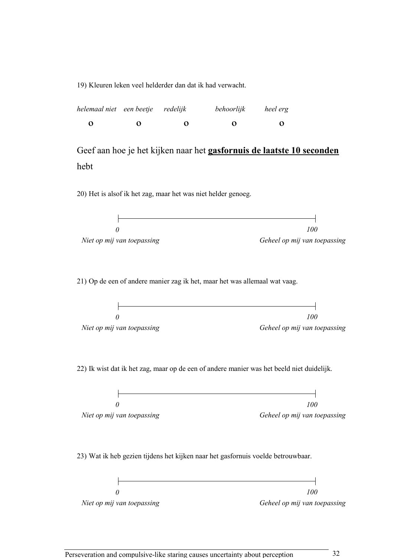19) Kleuren leken veel helderder dan dat ik had verwacht.

| helemaal niet een beetje redelijk |   |   | behoorlijk        | heel erg |
|-----------------------------------|---|---|-------------------|----------|
| O                                 | 0 | 0 | $\mathbf{\Omega}$ | 0        |

Geef aan hoe je het kijken naar het gasfornuis de laatste 10 seconden hebt

20) Het is alsof ik het zag, maar het was niet helder genoeg.

 $\mathsf{H}$ ┥  $\theta$ 100 00 Niet op mij van toepassing Geheel op mij van toepassing

21) Op de een of andere manier zag ik het, maar het was allemaal wat vaag.

|                            | 100                          |
|----------------------------|------------------------------|
| Niet op mij van toepassing | Geheel op mij van toepassing |

22) Ik wist dat ik het zag, maar op de een of andere manier was het beeld niet duidelijk.

|                            | 100                          |
|----------------------------|------------------------------|
|                            |                              |
| Niet op mij van toepassing | Geheel op mij van toepassing |
|                            |                              |

23) Wat ik heb gezien tijdens het kijken naar het gasfornuis voelde betrouwbaar.

|                            | 100                          |
|----------------------------|------------------------------|
| Niet op mij van toepassing | Geheel op mij van toepassing |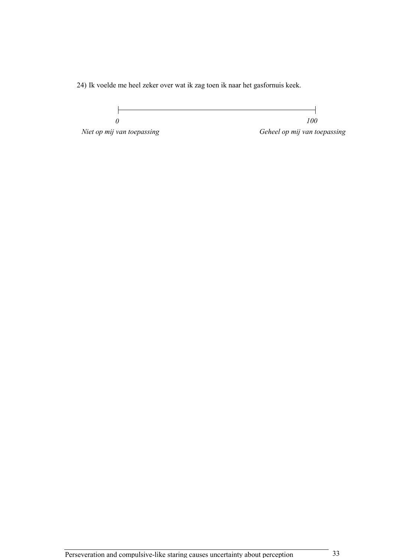24) Ik voelde me heel zeker over wat ik zag toen ik naar het gasfornuis keek.

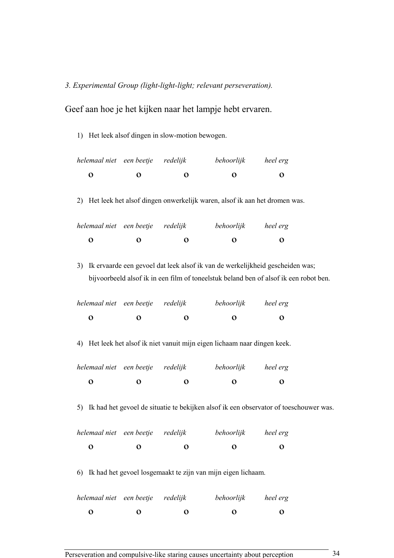3. Experimental Group (light-light-light; relevant perseveration).

Geef aan hoe je het kijken naar het lampje hebt ervaren.

1) Het leek alsof dingen in slow-motion bewogen.

| helemaal niet een beetje redelijk |                   |                   | behoorlijk        | heel erg          |
|-----------------------------------|-------------------|-------------------|-------------------|-------------------|
| O                                 | $\mathbf{\Omega}$ | $\mathbf{\Omega}$ | $\mathbf{\Omega}$ | $\mathbf{\Omega}$ |

2) Het leek het alsof dingen onwerkelijk waren, alsof ik aan het dromen was.

| helemaal niet een beetje redelijk |                   |                      | behoorlijk        | heel erg          |
|-----------------------------------|-------------------|----------------------|-------------------|-------------------|
| Ω                                 | $\mathbf{\Omega}$ | $\ddot{\phantom{a}}$ | $\mathbf{\Omega}$ | $\mathbf{\Omega}$ |
|                                   |                   |                      |                   |                   |

3) Ik ervaarde een gevoel dat leek alsof ik van de werkelijkheid gescheiden was; bijvoorbeeld alsof ik in een film of toneelstuk beland ben of alsof ik een robot ben.

| helemaal niet een beetje redelijk |                   |   | behoorlijk        | heel erg             |
|-----------------------------------|-------------------|---|-------------------|----------------------|
| $\Omega$                          | $\mathbf{\Omega}$ | 0 | $\mathbf{\Omega}$ | $\ddot{\phantom{1}}$ |
|                                   |                   |   |                   |                      |

4) Het leek het alsof ik niet vanuit mijn eigen lichaam naar dingen keek.

|        | helemaal niet een beetje redelijk | behoorlijk<br>heel erg |
|--------|-----------------------------------|------------------------|
| Ω<br>0 | 0                                 | $\mathbf{\Omega}$<br>0 |

5) Ik had het gevoel de situatie te bekijken alsof ik een observator of toeschouwer was.

| helemaal niet een beetje redelijk |   |                   | behoorlijk        | heel erg          |
|-----------------------------------|---|-------------------|-------------------|-------------------|
| Ω                                 | 0 | $\mathbf{\Omega}$ | $\mathbf{\Omega}$ | $\mathbf{\Omega}$ |
|                                   |   |                   |                   |                   |

6) Ik had het gevoel losgemaakt te zijn van mijn eigen lichaam.

| helemaal niet een beetje redelijk |                   |   | behoorlijk           | heel erg             |
|-----------------------------------|-------------------|---|----------------------|----------------------|
| o                                 | $\mathbf{\Omega}$ | 0 | $\ddot{\phantom{0}}$ | $\ddot{\phantom{0}}$ |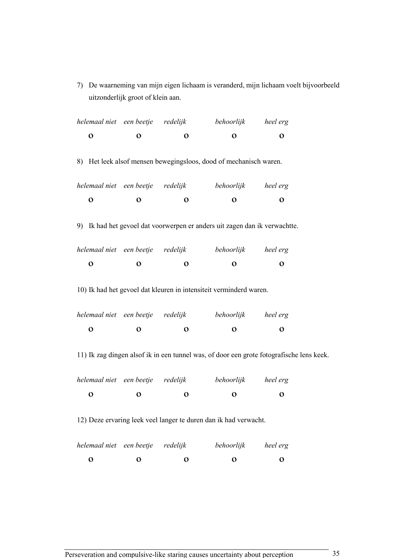7) De waarneming van mijn eigen lichaam is veranderd, mijn lichaam voelt bijvoorbeeld uitzonderlijk groot of klein aan.

| helemaal niet een beetje redelijk                                                        |                                                                   |              | behoorlijk heel erg                                                        |                |  |  |  |
|------------------------------------------------------------------------------------------|-------------------------------------------------------------------|--------------|----------------------------------------------------------------------------|----------------|--|--|--|
| $\mathbf O$                                                                              | $\mathbf{o}$                                                      | $\mathbf{o}$ | $\overline{O}$                                                             | $\mathbf{o}$   |  |  |  |
|                                                                                          | 8) Het leek alsof mensen bewegingsloos, dood of mechanisch waren. |              |                                                                            |                |  |  |  |
| helemaal niet een beetje redelijk                                                        |                                                                   |              | behoorlijk heel erg                                                        |                |  |  |  |
| $\mathbf{o}$                                                                             | $\mathbf 0$                                                       | $\mathbf{o}$ | $\overline{O}$                                                             | $\overline{O}$ |  |  |  |
|                                                                                          |                                                                   |              | 9) Ik had het gevoel dat voorwerpen er anders uit zagen dan ik verwachtte. |                |  |  |  |
| helemaal niet een beetje redelijk                                                        |                                                                   |              | behoorlijk heel erg                                                        |                |  |  |  |
| $\mathbf O$                                                                              | $\mathbf{o}$                                                      | $\mathbf 0$  | $\mathbf 0$                                                                | $\mathbf{o}$   |  |  |  |
|                                                                                          |                                                                   |              | 10) Ik had het gevoel dat kleuren in intensiteit verminderd waren.         |                |  |  |  |
| helemaal niet een beetje redelijk                                                        |                                                                   |              | behoorlijk heel erg                                                        |                |  |  |  |
| $\mathbf O$                                                                              | $\mathbf{o}$                                                      | $\mathbf{o}$ | $\mathbf{o}$                                                               | $\mathbf 0$    |  |  |  |
| 11) Ik zag dingen alsof ik in een tunnel was, of door een grote fotografische lens keek. |                                                                   |              |                                                                            |                |  |  |  |
| helemaal niet een beetje redelijk                                                        |                                                                   |              | behoorlijk heel erg                                                        |                |  |  |  |
| $\mathbf 0$                                                                              | $\mathbf 0$                                                       | $\mathbf{o}$ | $\mathbf{o}$                                                               | $\mathbf{o}$   |  |  |  |
| 12) Deze ervaring leek veel langer te duren dan ik had verwacht.                         |                                                                   |              |                                                                            |                |  |  |  |

|   | helemaal niet een beetje redelijk |                   | behoorlijk        | heel erg  |
|---|-----------------------------------|-------------------|-------------------|-----------|
| О | $\cdots$                          | $\mathbf{\Omega}$ | $\mathbf{\Omega}$ | $\bullet$ |
|   |                                   |                   |                   |           |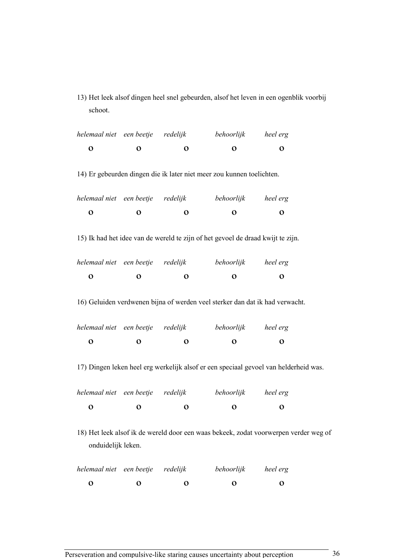13) Het leek alsof dingen heel snel gebeurden, alsof het leven in een ogenblik voorbij schoot.

| helemaal niet een beetje                                                                                   |                     | redelijk     | behoorlijk                                                                      | heel erg                                                                             |  |
|------------------------------------------------------------------------------------------------------------|---------------------|--------------|---------------------------------------------------------------------------------|--------------------------------------------------------------------------------------|--|
| $\mathbf O$                                                                                                | $\mathbf O$         | $\mathbf 0$  | $\mathbf 0$                                                                     | $\mathbf 0$                                                                          |  |
|                                                                                                            |                     |              | 14) Er gebeurden dingen die ik later niet meer zou kunnen toelichten.           |                                                                                      |  |
| helemaal niet                                                                                              | een beetje          | redelijk     | behoorlijk                                                                      | heel erg                                                                             |  |
| $\mathbf{o}$                                                                                               | $\mathbf{o}$        | O            | $\mathbf o$                                                                     | $\mathbf o$                                                                          |  |
|                                                                                                            |                     |              | 15) Ik had het idee van de wereld te zijn of het gevoel de draad kwijt te zijn. |                                                                                      |  |
| helemaal niet een beetje redelijk                                                                          |                     |              | behoorlijk                                                                      | heel erg                                                                             |  |
| $\mathbf 0$                                                                                                | $\mathbf O$         | $\mathbf O$  | $\mathbf{o}$                                                                    | $\mathbf{o}$                                                                         |  |
|                                                                                                            |                     |              | 16) Geluiden verdwenen bijna of werden veel sterker dan dat ik had verwacht.    |                                                                                      |  |
| helemaal niet                                                                                              | een beetje redelijk |              | behoorlijk                                                                      | heel erg                                                                             |  |
| $\mathbf 0$                                                                                                | $\mathbf O$         | $\mathbf{o}$ | $\mathbf O$                                                                     | $\mathbf 0$                                                                          |  |
|                                                                                                            |                     |              |                                                                                 | 17) Dingen leken heel erg werkelijk alsof er een speciaal gevoel van helderheid was. |  |
| helemaal niet                                                                                              | een beetje redelijk |              | behoorlijk                                                                      | heel erg                                                                             |  |
| $\mathbf{o}$                                                                                               | $\mathbf O$         | $\mathbf O$  | $\mathbf{o}$                                                                    | $\mathbf{o}$                                                                         |  |
| 18) Het leek alsof ik de wereld door een waas bekeek, zodat voorwerpen verder weg of<br>onduidelijk leken. |                     |              |                                                                                 |                                                                                      |  |
| helemaal niet                                                                                              | een beetje redelijk |              | behoorlijk                                                                      | heel erg                                                                             |  |
| $\mathbf O$                                                                                                | $\mathbf o$         | $\mathbf o$  | $\mathbf o$                                                                     | $\mathbf{o}$                                                                         |  |

Perseveration and compulsive-like staring causes uncertainty about perception 36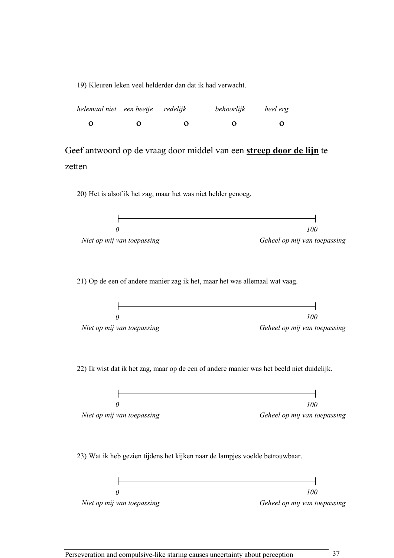19) Kleuren leken veel helderder dan dat ik had verwacht.

| helemaal niet een beetje redelijk |   |   | behoorlijk        | heel erg |
|-----------------------------------|---|---|-------------------|----------|
| O                                 | 0 | 0 | $\mathbf{\Omega}$ | 0        |

Geef antwoord op de vraag door middel van een **streep door de lijn** te zetten

20) Het is alsof ik het zag, maar het was niet helder genoeg.

 $\mathsf{H}$ ┥  $\theta$ 100 Niet op mij van toepassing die eerste van die Geheel op mij van toepassing

21) Op de een of andere manier zag ik het, maar het was allemaal wat vaag.

|                            | 100                          |
|----------------------------|------------------------------|
| Niet op mij van toepassing | Geheel op mij van toepassing |

22) Ik wist dat ik het zag, maar op de een of andere manier was het beeld niet duidelijk.

|                            | 100                          |
|----------------------------|------------------------------|
| Niet op mij van toepassing | Geheel op mij van toepassing |

23) Wat ik heb gezien tijdens het kijken naar de lampjes voelde betrouwbaar.

|                            | 100                          |
|----------------------------|------------------------------|
| Niet op mij van toepassing | Geheel op mij van toepassing |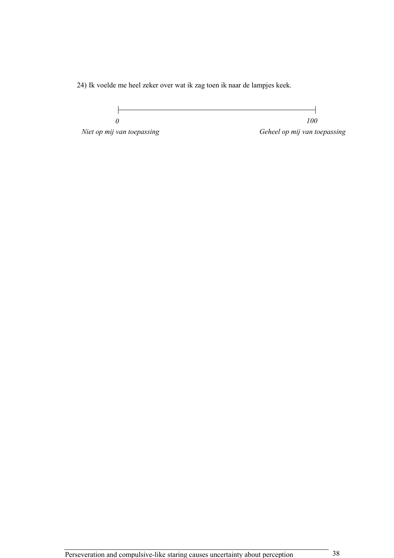24) Ik voelde me heel zeker over wat ik zag toen ik naar de lampjes keek.

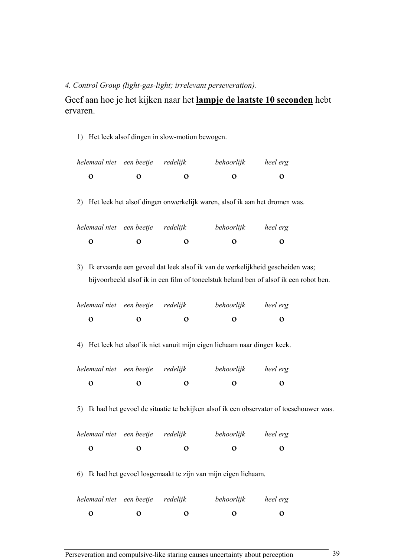## 4. Control Group (light-gas-light; irrelevant perseveration).

Geef aan hoe je het kijken naar het lampje de laatste 10 seconden hebt ervaren.

1) Het leek alsof dingen in slow-motion bewogen.

| helemaal niet een beetje redelijk |                      |   | behoorlijk   | heel erg |
|-----------------------------------|----------------------|---|--------------|----------|
| $\Omega$                          | $\ddot{\phantom{a}}$ | 0 | $\mathbf{a}$ | $\Omega$ |

2) Het leek het alsof dingen onwerkelijk waren, alsof ik aan het dromen was.

| helemaal niet een beetje redelijk |                   |                   | behoorlijk        | heel erg          |
|-----------------------------------|-------------------|-------------------|-------------------|-------------------|
| o                                 | $\mathbf{\Omega}$ | $\mathbf{\Omega}$ | $\mathbf{\Omega}$ | $\mathbf{\Omega}$ |

3) Ik ervaarde een gevoel dat leek alsof ik van de werkelijkheid gescheiden was; bijvoorbeeld alsof ik in een film of toneelstuk beland ben of alsof ik een robot ben.

| helemaal niet een beetje redelijk |                   | behoorlijk        | heel erg             |
|-----------------------------------|-------------------|-------------------|----------------------|
| o                                 | $\mathbf{\Omega}$ | $\mathbf{\Omega}$ | $\ddot{\phantom{0}}$ |
|                                   |                   |                   |                      |

4) Het leek het alsof ik niet vanuit mijn eigen lichaam naar dingen keek.

| helemaal niet een beetje redelijk |                   | behoorlijk             | heel erg          |
|-----------------------------------|-------------------|------------------------|-------------------|
| o                                 | $\mathbf{\Omega}$ | 0<br>$\mathbf{\Omega}$ | $\mathbf{\Omega}$ |

5) Ik had het gevoel de situatie te bekijken alsof ik een observator of toeschouwer was.

| helemaal niet een beetje redelijk |   |                   | behoorlijk        | heel erg          |
|-----------------------------------|---|-------------------|-------------------|-------------------|
| o                                 | 0 | $\mathbf{\Omega}$ | $\mathbf{\Omega}$ | $\mathbf{\Omega}$ |

6) Ik had het gevoel losgemaakt te zijn van mijn eigen lichaam.

| $\mathbf{\Omega}$<br>$\mathbf{\Omega}$ | $\mathbf{\Omega}$ |
|----------------------------------------|-------------------|
|                                        |                   |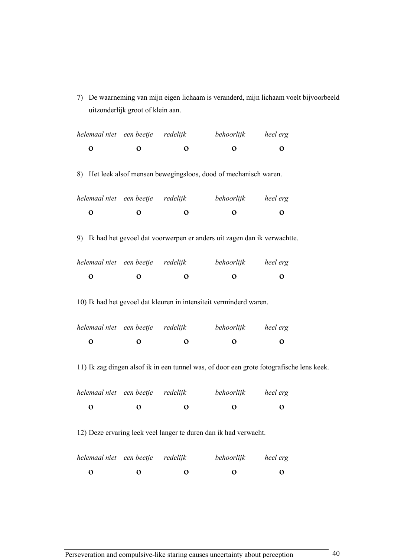7) De waarneming van mijn eigen lichaam is veranderd, mijn lichaam voelt bijvoorbeeld uitzonderlijk groot of klein aan.

| helemaal niet een beetje redelijk                                |              |              | behoorlijk heel erg                                                                      |              |  |  |
|------------------------------------------------------------------|--------------|--------------|------------------------------------------------------------------------------------------|--------------|--|--|
| $\mathbf O$                                                      | $\mathbf{o}$ | $\mathbf{o}$ | $\mathbf 0$                                                                              | $\mathbf{o}$ |  |  |
|                                                                  |              |              | 8) Het leek alsof mensen bewegingsloos, dood of mechanisch waren.                        |              |  |  |
| helemaal niet een beetje redelijk                                |              |              | behoorlijk heel erg                                                                      |              |  |  |
| $\mathbf{o}$                                                     | $\mathbf 0$  | $\mathbf{o}$ | $\mathbf{o}$                                                                             | $\mathbf{o}$ |  |  |
|                                                                  |              |              | 9) Ik had het gevoel dat voorwerpen er anders uit zagen dan ik verwachtte.               |              |  |  |
| helemaal niet een beetje redelijk                                |              |              | behoorlijk heel erg                                                                      |              |  |  |
| $\mathbf 0$                                                      | $\mathbf 0$  | $\mathbf 0$  | $\mathbf{o}$                                                                             | $\mathbf 0$  |  |  |
|                                                                  |              |              | 10) Ik had het gevoel dat kleuren in intensiteit verminderd waren.                       |              |  |  |
| helemaal niet een beetje redelijk                                |              |              | behoorlijk heel erg                                                                      |              |  |  |
| $\mathbf 0$                                                      | $\mathbf 0$  | $\mathbf{o}$ | $\mathbf 0$                                                                              | $\mathbf 0$  |  |  |
|                                                                  |              |              | 11) Ik zag dingen alsof ik in een tunnel was, of door een grote fotografische lens keek. |              |  |  |
| helemaal niet een beetje redelijk                                |              |              | behoorlijk heel erg                                                                      |              |  |  |
| $\mathbf 0$                                                      | $\mathbf{o}$ | $\mathbf{o}$ | $\mathbf 0$                                                                              | $\mathbf{o}$ |  |  |
| 12) Deze ervaring leek veel langer te duren dan ik had verwacht. |              |              |                                                                                          |              |  |  |
| helemaal niet een beetje                                         |              | redelijk     | behoorlijk                                                                               | heel erg     |  |  |

 $\begin{array}{ccccccc}\n0 & 0 & 0 & 0 & 0\n\end{array}$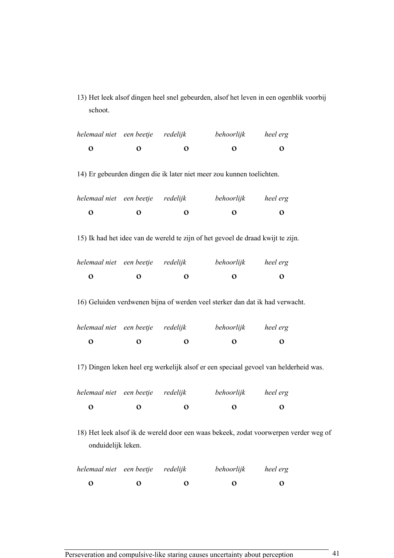13) Het leek alsof dingen heel snel gebeurden, alsof het leven in een ogenblik voorbij schoot.

| helemaal niet een beetje                                                                                   |                     | redelijk     | behoorlijk                                                                      | heel erg                                                                             |  |  |
|------------------------------------------------------------------------------------------------------------|---------------------|--------------|---------------------------------------------------------------------------------|--------------------------------------------------------------------------------------|--|--|
| $\mathbf O$                                                                                                | $\mathbf{o}$        | $\mathbf 0$  | $\mathbf 0$                                                                     | $\mathbf 0$                                                                          |  |  |
|                                                                                                            |                     |              | 14) Er gebeurden dingen die ik later niet meer zou kunnen toelichten.           |                                                                                      |  |  |
| helemaal niet een beetje                                                                                   |                     | redelijk     | behoorlijk                                                                      | heel erg                                                                             |  |  |
| $\mathbf{o}$                                                                                               | $\mathbf{o}$        | $\mathbf o$  | $\mathbf{o}$                                                                    | $\mathbf{o}$                                                                         |  |  |
|                                                                                                            |                     |              | 15) Ik had het idee van de wereld te zijn of het gevoel de draad kwijt te zijn. |                                                                                      |  |  |
| helemaal niet een beetje                                                                                   |                     | redelijk     | behoorlijk                                                                      | heel erg                                                                             |  |  |
| $\mathbf 0$                                                                                                | $\mathbf{o}$        | $\mathbf{o}$ | $\mathbf{o}$                                                                    | $\mathbf o$                                                                          |  |  |
|                                                                                                            |                     |              | 16) Geluiden verdwenen bijna of werden veel sterker dan dat ik had verwacht.    |                                                                                      |  |  |
| helemaal niet                                                                                              | een beetje redelijk |              | behoorlijk                                                                      | heel erg                                                                             |  |  |
| $\mathbf 0$                                                                                                | $\mathbf{o}$        | $\mathbf o$  | $\mathbf{o}$                                                                    | $\mathbf{o}$                                                                         |  |  |
|                                                                                                            |                     |              |                                                                                 | 17) Dingen leken heel erg werkelijk alsof er een speciaal gevoel van helderheid was. |  |  |
| helemaal niet een beetje redelijk                                                                          |                     |              | behoorlijk                                                                      | heel erg                                                                             |  |  |
| $\mathbf{o}$                                                                                               | $\mathbf O$         | $\mathbf{o}$ | $\mathbf{o}$                                                                    | $\mathbf{o}$                                                                         |  |  |
| 18) Het leek alsof ik de wereld door een waas bekeek, zodat voorwerpen verder weg of<br>onduidelijk leken. |                     |              |                                                                                 |                                                                                      |  |  |
| helemaal niet                                                                                              | een beetje redelijk |              | behoorlijk                                                                      | heel erg                                                                             |  |  |
| $\mathbf O$                                                                                                | $\mathbf o$         | $\mathbf 0$  | $\mathbf O$                                                                     | $\mathbf O$                                                                          |  |  |

Perseveration and compulsive-like staring causes uncertainty about perception 41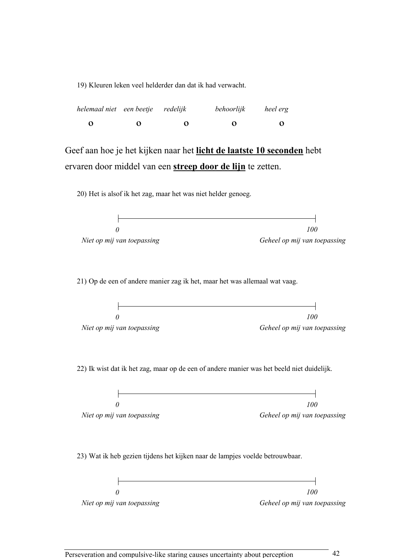19) Kleuren leken veel helderder dan dat ik had verwacht.

| helemaal niet een beetje redelijk |   |   | behoorlijk | heel erg |
|-----------------------------------|---|---|------------|----------|
| O                                 | 0 | Ω | 0          | $\Omega$ |

Geef aan hoe je het kijken naar het licht de laatste 10 seconden hebt ervaren door middel van een streep door de lijn te zetten.

20) Het is alsof ik het zag, maar het was niet helder genoeg.

 $\mathsf{F}$  $\theta$ 100 Niet op mij van toepassing die eerste van die Geheel op mij van toepassing 21) Op de een of andere manier zag ik het, maar het was allemaal wat vaag.  $\mathbf{r}$ 

|                            | 100                          |
|----------------------------|------------------------------|
| Niet op mij van toepassing | Geheel op mij van toepassing |

22) Ik wist dat ik het zag, maar op de een of andere manier was het beeld niet duidelijk.

|                            | 100                          |
|----------------------------|------------------------------|
|                            |                              |
| Niet op mij van toepassing | Geheel op mij van toepassing |

23) Wat ik heb gezien tijdens het kijken naar de lampjes voelde betrouwbaar.

|                            | 100                          |
|----------------------------|------------------------------|
| Niet op mij van toepassing | Geheel op mij van toepassing |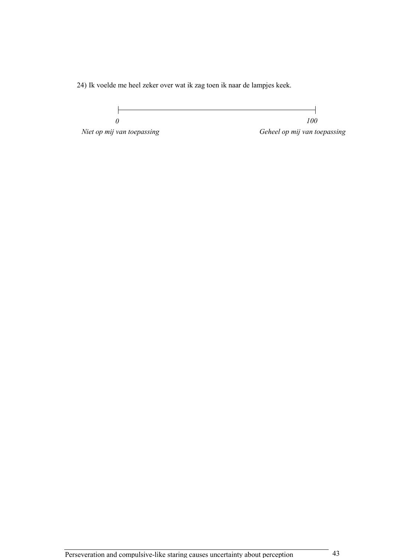24) Ik voelde me heel zeker over wat ik zag toen ik naar de lampjes keek.

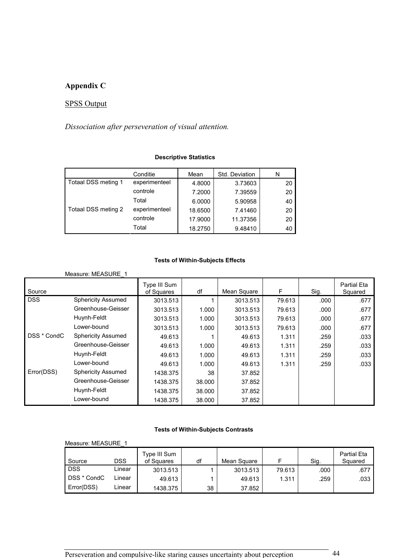# Appendix C

# SPSS Output

Dissociation after perseveration of visual attention.

### Descriptive Statistics

|                     | Conditie      | Mean    | Std. Deviation | N  |
|---------------------|---------------|---------|----------------|----|
| Totaal DSS meting 1 | experimenteel | 4.8000  | 3.73603        | 20 |
|                     | controle      | 7.2000  | 7.39559        | 20 |
|                     | Total         | 6.0000  | 5.90958        | 40 |
| Totaal DSS meting 2 | experimenteel | 18.6500 | 7.41460        | 20 |
|                     | controle      | 17.9000 | 11.37356       | 20 |
|                     | Total         | 18.2750 | 9.48410        | 40 |

### Tests of Within-Subjects Effects

|             | Measure: MEASURE 1        |                            |        |             |        |      |                               |
|-------------|---------------------------|----------------------------|--------|-------------|--------|------|-------------------------------|
| Source      |                           | Type III Sum<br>of Squares | df     | Mean Square | F      | Sig. | <b>Partial Eta</b><br>Squared |
| <b>DSS</b>  | <b>Sphericity Assumed</b> | 3013.513                   |        | 3013.513    | 79.613 | .000 | .677                          |
|             | Greenhouse-Geisser        | 3013.513                   | 1.000  | 3013.513    | 79.613 | .000 | .677                          |
|             | Huynh-Feldt               | 3013.513                   | 1.000  | 3013.513    | 79.613 | .000 | .677                          |
|             | Lower-bound               | 3013.513                   | 1.000  | 3013.513    | 79.613 | .000 | .677                          |
| DSS * CondC | <b>Sphericity Assumed</b> | 49.613                     |        | 49.613      | 1.311  | .259 | .033                          |
|             | Greenhouse-Geisser        | 49.613                     | 1.000  | 49.613      | 1.311  | .259 | .033                          |
|             | Huynh-Feldt               | 49.613                     | 1.000  | 49.613      | 1.311  | .259 | .033                          |
|             | Lower-bound               | 49.613                     | 1.000  | 49.613      | 1.311  | .259 | .033                          |
| Error(DSS)  | <b>Sphericity Assumed</b> | 1438.375                   | 38     | 37.852      |        |      |                               |
|             | Greenhouse-Geisser        | 1438.375                   | 38.000 | 37.852      |        |      |                               |
|             | Huynh-Feldt               | 1438.375                   | 38,000 | 37.852      |        |      |                               |
|             | Lower-bound               | 1438.375                   | 38.000 | 37.852      |        |      |                               |

#### Tests of Within-Subjects Contrasts

| Measure: MEASURE |        |                            |    |             |        |      |                               |
|------------------|--------|----------------------------|----|-------------|--------|------|-------------------------------|
| Source           | DSS    | Type III Sum<br>of Squares | df | Mean Square |        | Sig. | <b>Partial Eta</b><br>Squared |
| <b>DSS</b>       | Linear | 3013.513                   |    | 3013.513    | 79.613 | .000 | .677                          |
| DSS * CondC      | Linear | 49.613                     |    | 49.613      | 1.311  | .259 | .033                          |
| Error(DSS)       | Linear | 1438.375                   | 38 | 37.852      |        |      |                               |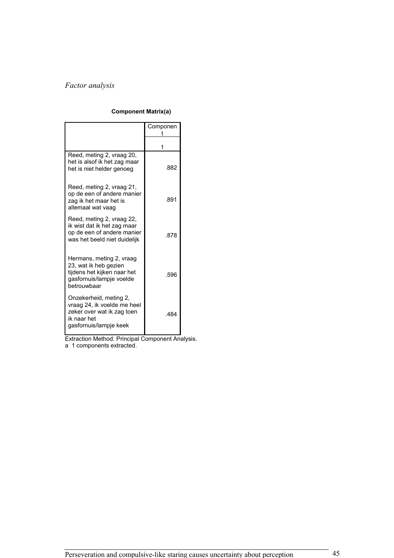# Factor analysis

#### Component Matrix(a)

|                                                                                                                              | Componen |
|------------------------------------------------------------------------------------------------------------------------------|----------|
|                                                                                                                              |          |
| Reed, meting 2, vraag 20,<br>het is alsof ik het zag maar<br>het is niet helder genoeg                                       | .882     |
| Reed, meting 2, vraag 21,<br>op de een of andere manier<br>zag ik het maar het is<br>allemaal wat vaag                       | .891     |
| Reed, meting 2, yraag 22,<br>ik wist dat ik het zag maar<br>op de een of andere manier<br>was het beeld niet duidelijk       | .878     |
| Hermans, meting 2, yraag<br>23, wat ik heb gezien<br>tijdens het kijken naar het<br>gasfornuis/lampje voelde<br>betrouwbaar  | .596     |
| Onzekerheid, meting 2,<br>vraag 24, ik voelde me heel<br>zeker over wat ik zag toen<br>ik naar het<br>gasfornuis/lampje keek | .484     |

Extraction Method: Principal Component Analysis. a 1 components extracted.